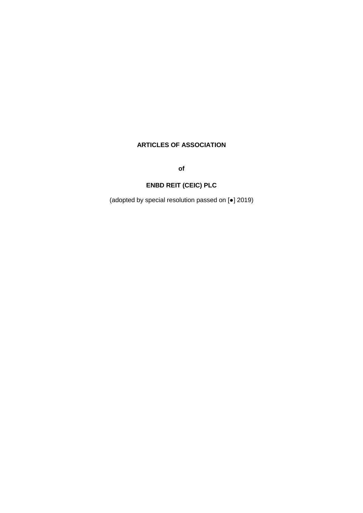## **ARTICLES OF ASSOCIATION**

**of**

# **ENBD REIT (CEIC) PLC**

(adopted by special resolution passed on [●] 2019)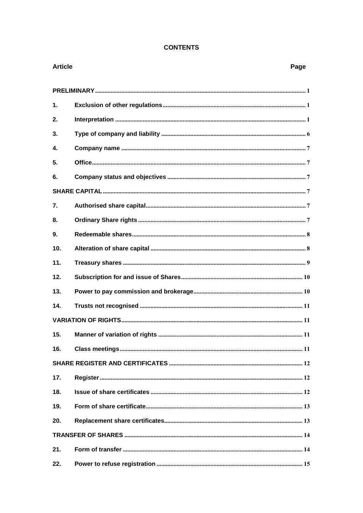### **CONTENTS**

| <b>Article</b>  | Page |
|-----------------|------|
|                 |      |
| $\mathbf{1}$ .  |      |
| 2.              |      |
| 3.              |      |
| 4.              |      |
| 5.              |      |
| 6.              |      |
|                 |      |
| 7.              |      |
| 8.              |      |
| 9.              |      |
| 10 <sub>1</sub> |      |
| 11.             |      |
| 12.             |      |
| 13.             |      |
| 14.             |      |
|                 |      |
|                 |      |
| 16.             |      |
|                 |      |
| 17.             |      |
| 18.             |      |
| 19.             |      |
| 20.             |      |
|                 |      |
| 21.             |      |
| 22.             |      |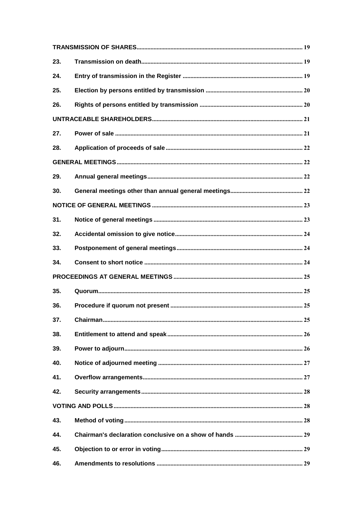| 23. |  |
|-----|--|
| 24. |  |
| 25. |  |
| 26. |  |
|     |  |
| 27. |  |
| 28. |  |
|     |  |
| 29. |  |
| 30. |  |
|     |  |
| 31. |  |
| 32. |  |
| 33. |  |
| 34. |  |
|     |  |
| 35. |  |
| 36. |  |
| 37. |  |
| 38. |  |
| 39. |  |
| 40. |  |
| 41. |  |
| 42. |  |
|     |  |
| 43. |  |
| 44. |  |
| 45. |  |
| 46. |  |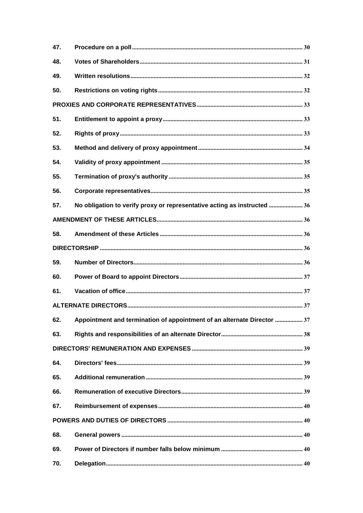| 47. |                                                                          |  |
|-----|--------------------------------------------------------------------------|--|
| 48. |                                                                          |  |
| 49. |                                                                          |  |
| 50. |                                                                          |  |
|     |                                                                          |  |
| 51. |                                                                          |  |
| 52. |                                                                          |  |
| 53. |                                                                          |  |
| 54. |                                                                          |  |
| 55. |                                                                          |  |
| 56. |                                                                          |  |
| 57. | No obligation to verify proxy or representative acting as instructed  36 |  |
|     |                                                                          |  |
| 58. |                                                                          |  |
|     |                                                                          |  |
| 59. |                                                                          |  |
| 60. |                                                                          |  |
| 61. |                                                                          |  |
|     |                                                                          |  |
| 62. | Appointment and termination of appointment of an alternate Director  37  |  |
| 63. |                                                                          |  |
|     |                                                                          |  |
| 64. |                                                                          |  |
| 65. |                                                                          |  |
| 66. |                                                                          |  |
| 67. |                                                                          |  |
|     |                                                                          |  |
| 68. |                                                                          |  |
| 69. |                                                                          |  |
|     |                                                                          |  |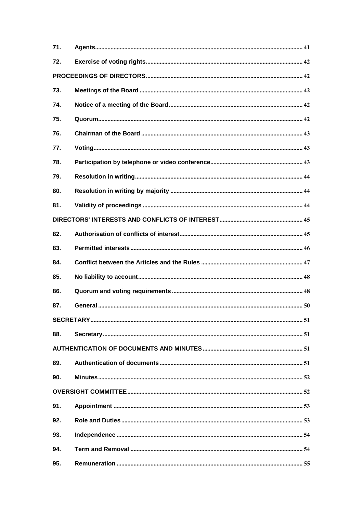| 71. |  |
|-----|--|
| 72. |  |
|     |  |
| 73. |  |
| 74. |  |
| 75. |  |
| 76. |  |
| 77. |  |
| 78. |  |
| 79. |  |
| 80. |  |
| 81. |  |
|     |  |
| 82. |  |
| 83. |  |
| 84. |  |
| 85. |  |
| 86. |  |
| 87. |  |
|     |  |
| 88. |  |
|     |  |
| 89. |  |
| 90. |  |
|     |  |
| 91. |  |
| 92. |  |
| 93. |  |
| 94. |  |
| 95. |  |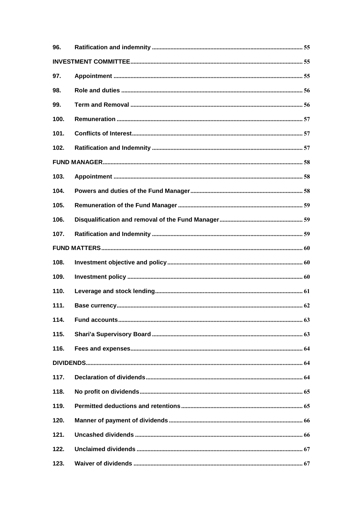| 96.  |  |
|------|--|
|      |  |
| 97.  |  |
| 98.  |  |
| 99.  |  |
| 100. |  |
| 101. |  |
| 102. |  |
|      |  |
| 103. |  |
| 104. |  |
| 105. |  |
| 106. |  |
| 107. |  |
|      |  |
| 108. |  |
| 109. |  |
| 110. |  |
| 111. |  |
| 114. |  |
| 115. |  |
| 116. |  |
|      |  |
| 117. |  |
| 118. |  |
| 119. |  |
| 120. |  |
| 121. |  |
| 122. |  |
| 123. |  |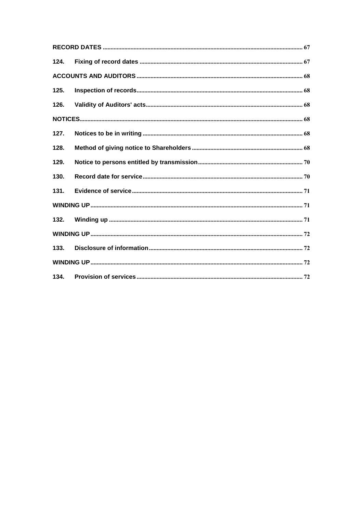| 124. |  |
|------|--|
|      |  |
| 125. |  |
| 126. |  |
|      |  |
| 127. |  |
| 128. |  |
| 129. |  |
| 130. |  |
| 131. |  |
|      |  |
| 132. |  |
|      |  |
| 133. |  |
|      |  |
| 134. |  |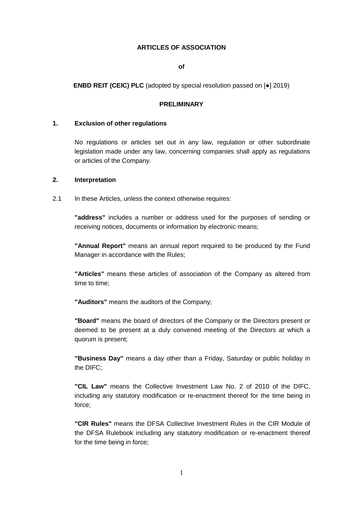#### **ARTICLES OF ASSOCIATION**

**of**

**ENBD REIT (CEIC) PLC** (adopted by special resolution passed on [●] 2019)

#### **PRELIMINARY**

#### **1. Exclusion of other regulations**

No regulations or articles set out in any law, regulation or other subordinate legislation made under any law, concerning companies shall apply as regulations or articles of the Company.

#### <span id="page-7-0"></span>**2. Interpretation**

2.1 In these Articles, unless the context otherwise requires:

**"address"** includes a number or address used for the purposes of sending or receiving notices, documents or information by electronic means;

**"Annual Report"** means an annual report required to be produced by the Fund Manager in accordance with the Rules;

**"Articles"** means these articles of association of the Company as altered from time to time;

**"Auditors"** means the auditors of the Company;

**"Board"** means the board of directors of the Company or the Directors present or deemed to be present at a duly convened meeting of the Directors at which a quorum is present;

**"Business Day"** means a day other than a Friday, Saturday or public holiday in the DIFC;

**"CIL Law"** means the Collective Investment Law No. 2 of 2010 of the DIFC, including any statutory modification or re-enactment thereof for the time being in force;

**"CIR Rules"** means the DFSA Collective Investment Rules in the CIR Module of the DFSA Rulebook including any statutory modification or re-enactment thereof for the time being in force;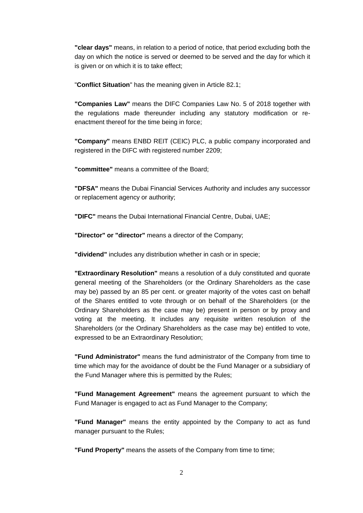**"clear days"** means, in relation to a period of notice, that period excluding both the day on which the notice is served or deemed to be served and the day for which it is given or on which it is to take effect;

"**Conflict Situation**" has the meaning given in Article [82.1;](#page-51-0)

**"Companies Law"** means the DIFC Companies Law No. 5 of 2018 together with the regulations made thereunder including any statutory modification or reenactment thereof for the time being in force;

**"Company"** means ENBD REIT (CEIC) PLC, a public company incorporated and registered in the DIFC with registered number 2209;

**"committee"** means a committee of the Board;

**"DFSA"** means the Dubai Financial Services Authority and includes any successor or replacement agency or authority;

**"DIFC"** means the Dubai International Financial Centre, Dubai, UAE;

**"Director" or "director"** means a director of the Company;

**"dividend"** includes any distribution whether in cash or in specie;

**"Extraordinary Resolution"** means a resolution of a duly constituted and quorate general meeting of the Shareholders (or the Ordinary Shareholders as the case may be) passed by an 85 per cent. or greater majority of the votes cast on behalf of the Shares entitled to vote through or on behalf of the Shareholders (or the Ordinary Shareholders as the case may be) present in person or by proxy and voting at the meeting. It includes any requisite written resolution of the Shareholders (or the Ordinary Shareholders as the case may be) entitled to vote, expressed to be an Extraordinary Resolution;

**"Fund Administrator"** means the fund administrator of the Company from time to time which may for the avoidance of doubt be the Fund Manager or a subsidiary of the Fund Manager where this is permitted by the Rules;

**"Fund Management Agreement"** means the agreement pursuant to which the Fund Manager is engaged to act as Fund Manager to the Company;

**"Fund Manager"** means the entity appointed by the Company to act as fund manager pursuant to the Rules;

**"Fund Property"** means the assets of the Company from time to time;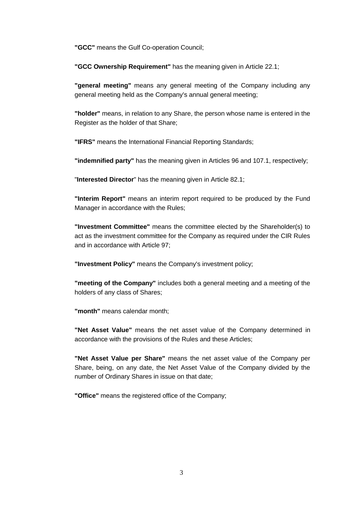**"GCC"** means the Gulf Co-operation Council;

**"GCC Ownership Requirement"** has the meaning given in Article [22.1;](#page-22-0)

**"general meeting"** means any general meeting of the Company including any general meeting held as the Company's annual general meeting;

**"holder"** means, in relation to any Share, the person whose name is entered in the Register as the holder of that Share;

**"IFRS"** means the International Financial Reporting Standards;

**"indemnified party"** has the meaning given in Articles [96](#page-61-0) and [107.1,](#page-66-0) respectively;

"**Interested Director**" has the meaning given in Article [82.1;](#page-51-0)

**"Interim Report"** means an interim report required to be produced by the Fund Manager in accordance with the Rules;

**"Investment Committee"** means the committee elected by the Shareholder(s) to act as the investment committee for the Company as required under the CIR Rules and in accordance with Article [97;](#page-61-1)

**"Investment Policy"** means the Company's investment policy;

**"meeting of the Company"** includes both a general meeting and a meeting of the holders of any class of Shares;

**"month"** means calendar month;

**"Net Asset Value"** means the net asset value of the Company determined in accordance with the provisions of the Rules and these Articles;

**"Net Asset Value per Share"** means the net asset value of the Company per Share, being, on any date, the Net Asset Value of the Company divided by the number of Ordinary Shares in issue on that date;

**"Office"** means the registered office of the Company;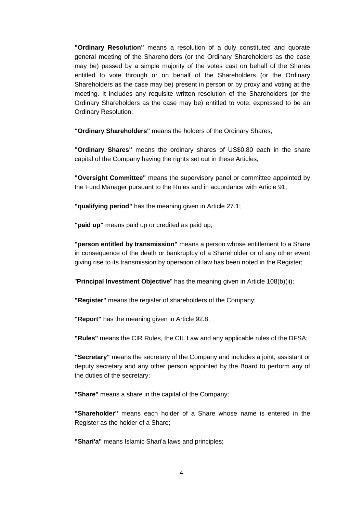**"Ordinary Resolution"** means a resolution of a duly constituted and quorate general meeting of the Shareholders (or the Ordinary Shareholders as the case may be) passed by a simple majority of the votes cast on behalf of the Shares entitled to vote through or on behalf of the Shareholders (or the Ordinary Shareholders as the case may be) present in person or by proxy and voting at the meeting. It includes any requisite written resolution of the Shareholders (or the Ordinary Shareholders as the case may be) entitled to vote, expressed to be an Ordinary Resolution;

**"Ordinary Shareholders"** means the holders of the Ordinary Shares;

**"Ordinary Shares"** means the ordinary shares of US\$0.80 each in the share capital of the Company having the rights set out in these Articles;

**"Oversight Committee"** means the supervisory panel or committee appointed by the Fund Manager pursuant to the Rules and in accordance with Article [91;](#page-59-0)

**"qualifying period"** has the meaning given in Article [27.1;](#page-27-0)

**"paid up"** means paid up or credited as paid up;

**"person entitled by transmission"** means a person whose entitlement to a Share in consequence of the death or bankruptcy of a Shareholder or of any other event giving rise to its transmission by operation of law has been noted in the Register;

"**Principal Investment Objective**" has the meaning given in Article [108\(b\)\(ii\);](#page-66-1)

**"Register"** means the register of shareholders of the Company;

**"Report"** has the meaning given in Article [92.8;](#page-60-0)

**"Rules"** means the CIR Rules, the CIL Law and any applicable rules of the DFSA;

**"Secretary"** means the secretary of the Company and includes a joint, assistant or deputy secretary and any other person appointed by the Board to perform any of the duties of the secretary;

**"Share"** means a share in the capital of the Company;

**"Shareholder"** means each holder of a Share whose name is entered in the Register as the holder of a Share;

**"Shari'a"** means Islamic Shari'a laws and principles;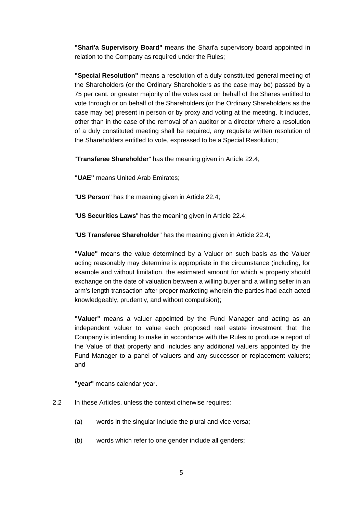**"Shari'a Supervisory Board"** means the Shari'a supervisory board appointed in relation to the Company as required under the Rules;

**"Special Resolution"** means a resolution of a duly constituted general meeting of the Shareholders (or the Ordinary Shareholders as the case may be) passed by a 75 per cent. or greater majority of the votes cast on behalf of the Shares entitled to vote through or on behalf of the Shareholders (or the Ordinary Shareholders as the case may be) present in person or by proxy and voting at the meeting. It includes, other than in the case of the removal of an auditor or a director where a resolution of a duly constituted meeting shall be required, any requisite written resolution of the Shareholders entitled to vote, expressed to be a Special Resolution;

"**Transferee Shareholder**" has the meaning given in Article [22.4;](#page-24-0)

**"UAE"** means United Arab Emirates;

"**US Person**" has the meaning given in Article [22.4;](#page-24-0)

"**US Securities Laws**" has the meaning given in Article [22.4;](#page-24-0)

"**US Transferee Shareholder**" has the meaning given in Article [22.4;](#page-24-0)

**"Value"** means the value determined by a Valuer on such basis as the Valuer acting reasonably may determine is appropriate in the circumstance (including, for example and without limitation, the estimated amount for which a property should exchange on the date of valuation between a willing buyer and a willing seller in an arm's length transaction after proper marketing wherein the parties had each acted knowledgeably, prudently, and without compulsion);

**"Valuer"** means a valuer appointed by the Fund Manager and acting as an independent valuer to value each proposed real estate investment that the Company is intending to make in accordance with the Rules to produce a report of the Value of that property and includes any additional valuers appointed by the Fund Manager to a panel of valuers and any successor or replacement valuers; and

**"year"** means calendar year.

- 2.2 In these Articles, unless the context otherwise requires:
	- (a) words in the singular include the plural and vice versa;
	- (b) words which refer to one gender include all genders;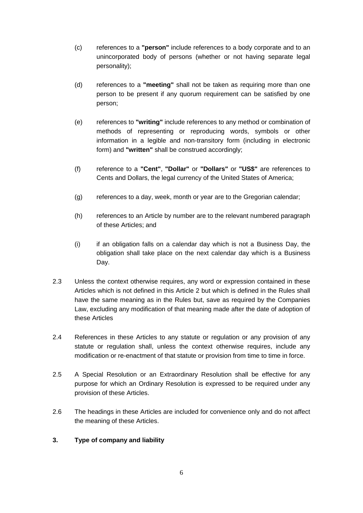- (c) references to a **"person"** include references to a body corporate and to an unincorporated body of persons (whether or not having separate legal personality);
- (d) references to a **"meeting"** shall not be taken as requiring more than one person to be present if any quorum requirement can be satisfied by one person;
- (e) references to **"writing"** include references to any method or combination of methods of representing or reproducing words, symbols or other information in a legible and non-transitory form (including in electronic form) and **"written"** shall be construed accordingly;
- (f) reference to a **"Cent"**, **"Dollar"** or **"Dollars"** or **"US\$"** are references to Cents and Dollars, the legal currency of the United States of America;
- (g) references to a day, week, month or year are to the Gregorian calendar;
- (h) references to an Article by number are to the relevant numbered paragraph of these Articles; and
- (i) if an obligation falls on a calendar day which is not a Business Day, the obligation shall take place on the next calendar day which is a Business Day.
- 2.3 Unless the context otherwise requires, any word or expression contained in these Articles which is not defined in this Article [2](#page-7-0) but which is defined in the Rules shall have the same meaning as in the Rules but, save as required by the Companies Law, excluding any modification of that meaning made after the date of adoption of these Articles
- 2.4 References in these Articles to any statute or regulation or any provision of any statute or regulation shall, unless the context otherwise requires, include any modification or re-enactment of that statute or provision from time to time in force.
- 2.5 A Special Resolution or an Extraordinary Resolution shall be effective for any purpose for which an Ordinary Resolution is expressed to be required under any provision of these Articles.
- 2.6 The headings in these Articles are included for convenience only and do not affect the meaning of these Articles.

### **3. Type of company and liability**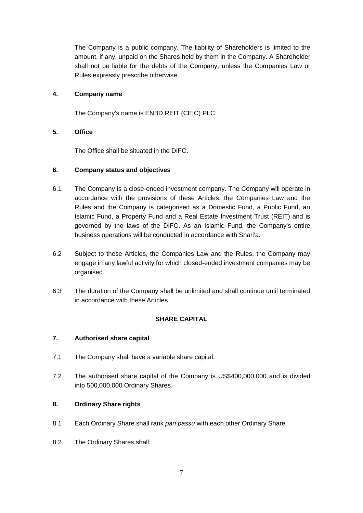The Company is a public company. The liability of Shareholders is limited to the amount, if any, unpaid on the Shares held by them in the Company. A Shareholder shall not be liable for the debts of the Company, unless the Companies Law or Rules expressly prescribe otherwise.

### **4. Company name**

The Company's name is ENBD REIT (CEIC) PLC.

### **5. Office**

The Office shall be situated in the DIFC.

### **6. Company status and objectives**

- 6.1 The Company is a close-ended investment company. The Company will operate in accordance with the provisions of these Articles, the Companies Law and the Rules and the Company is categorised as a Domestic Fund, a Public Fund, an Islamic Fund, a Property Fund and a Real Estate Investment Trust (REIT) and is governed by the laws of the DIFC. As an Islamic Fund, the Company's entire business operations will be conducted in accordance with Shari'a.
- 6.2 Subject to these Articles, the Companies Law and the Rules, the Company may engage in any lawful activity for which closed-ended investment companies may be organised.
- 6.3 The duration of the Company shall be unlimited and shall continue until terminated in accordance with these Articles.

### **SHARE CAPITAL**

### **7. Authorised share capital**

- 7.1 The Company shall have a variable share capital.
- 7.2 The authorised share capital of the Company is US\$400,000,000 and is divided into 500,000,000 Ordinary Shares.

### **8. Ordinary Share rights**

- 8.1 Each Ordinary Share shall rank *pari passu* with each other Ordinary Share.
- 8.2 The Ordinary Shares shall: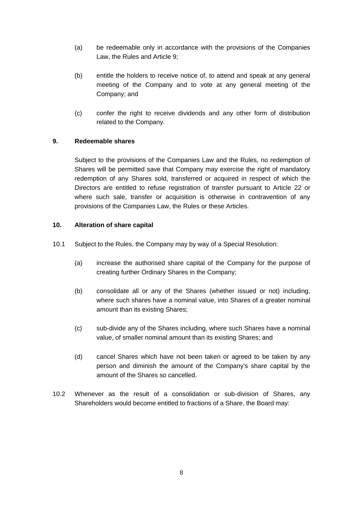- (a) be redeemable only in accordance with the provisions of the Companies Law, the Rules and Article [9;](#page-14-0)
- (b) entitle the holders to receive notice of, to attend and speak at any general meeting of the Company and to vote at any general meeting of the Company; and
- (c) confer the right to receive dividends and any other form of distribution related to the Company.

#### <span id="page-14-0"></span>**9. Redeemable shares**

Subject to the provisions of the Companies Law and the Rules, no redemption of Shares will be permitted save that Company may exercise the right of mandatory redemption of any Shares sold, transferred or acquired in respect of which the Directors are entitled to refuse registration of transfer pursuant to Article [22](#page-21-0) or where such sale, transfer or acquisition is otherwise in contravention of any provisions of the Companies Law, the Rules or these Articles.

#### **10. Alteration of share capital**

- 10.1 Subject to the Rules, the Company may by way of a Special Resolution:
	- (a) increase the authorised share capital of the Company for the purpose of creating further Ordinary Shares in the Company;
	- (b) consolidate all or any of the Shares (whether issued or not) including, where such shares have a nominal value, into Shares of a greater nominal amount than its existing Shares;
	- (c) sub-divide any of the Shares including, where such Shares have a nominal value, of smaller nominal amount than its existing Shares; and
	- (d) cancel Shares which have not been taken or agreed to be taken by any person and diminish the amount of the Company's share capital by the amount of the Shares so cancelled.
- 10.2 Whenever as the result of a consolidation or sub-division of Shares, any Shareholders would become entitled to fractions of a Share, the Board may: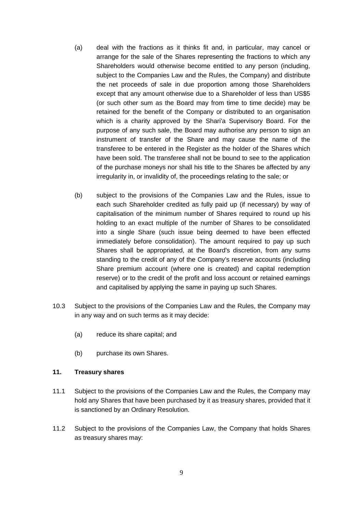- (a) deal with the fractions as it thinks fit and, in particular, may cancel or arrange for the sale of the Shares representing the fractions to which any Shareholders would otherwise become entitled to any person (including, subject to the Companies Law and the Rules, the Company) and distribute the net proceeds of sale in due proportion among those Shareholders except that any amount otherwise due to a Shareholder of less than US\$5 (or such other sum as the Board may from time to time decide) may be retained for the benefit of the Company or distributed to an organisation which is a charity approved by the Shari'a Supervisory Board. For the purpose of any such sale, the Board may authorise any person to sign an instrument of transfer of the Share and may cause the name of the transferee to be entered in the Register as the holder of the Shares which have been sold. The transferee shall not be bound to see to the application of the purchase moneys nor shall his title to the Shares be affected by any irregularity in, or invalidity of, the proceedings relating to the sale; or
- (b) subject to the provisions of the Companies Law and the Rules, issue to each such Shareholder credited as fully paid up (if necessary) by way of capitalisation of the minimum number of Shares required to round up his holding to an exact multiple of the number of Shares to be consolidated into a single Share (such issue being deemed to have been effected immediately before consolidation). The amount required to pay up such Shares shall be appropriated, at the Board's discretion, from any sums standing to the credit of any of the Company's reserve accounts (including Share premium account (where one is created) and capital redemption reserve) or to the credit of the profit and loss account or retained earnings and capitalised by applying the same in paying up such Shares.
- 10.3 Subject to the provisions of the Companies Law and the Rules, the Company may in any way and on such terms as it may decide:
	- (a) reduce its share capital; and
	- (b) purchase its own Shares.

#### **11. Treasury shares**

- 11.1 Subject to the provisions of the Companies Law and the Rules, the Company may hold any Shares that have been purchased by it as treasury shares, provided that it is sanctioned by an Ordinary Resolution.
- 11.2 Subject to the provisions of the Companies Law, the Company that holds Shares as treasury shares may: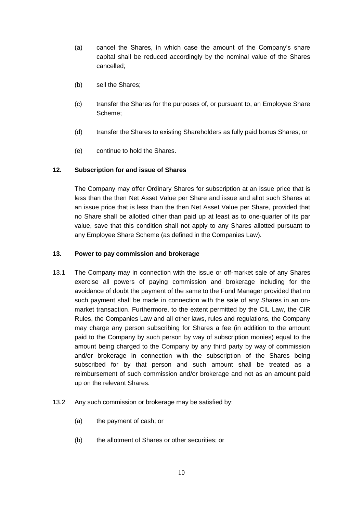- (a) cancel the Shares, in which case the amount of the Company's share capital shall be reduced accordingly by the nominal value of the Shares cancelled;
- (b) sell the Shares;
- (c) transfer the Shares for the purposes of, or pursuant to, an Employee Share Scheme;
- (d) transfer the Shares to existing Shareholders as fully paid bonus Shares; or
- (e) continue to hold the Shares.

### **12. Subscription for and issue of Shares**

The Company may offer Ordinary Shares for subscription at an issue price that is less than the then Net Asset Value per Share and issue and allot such Shares at an issue price that is less than the then Net Asset Value per Share, provided that no Share shall be allotted other than paid up at least as to one-quarter of its par value, save that this condition shall not apply to any Shares allotted pursuant to any Employee Share Scheme (as defined in the Companies Law).

### **13. Power to pay commission and brokerage**

- 13.1 The Company may in connection with the issue or off-market sale of any Shares exercise all powers of paying commission and brokerage including for the avoidance of doubt the payment of the same to the Fund Manager provided that no such payment shall be made in connection with the sale of any Shares in an onmarket transaction. Furthermore, to the extent permitted by the CIL Law, the CIR Rules, the Companies Law and all other laws, rules and regulations, the Company may charge any person subscribing for Shares a fee (in addition to the amount paid to the Company by such person by way of subscription monies) equal to the amount being charged to the Company by any third party by way of commission and/or brokerage in connection with the subscription of the Shares being subscribed for by that person and such amount shall be treated as a reimbursement of such commission and/or brokerage and not as an amount paid up on the relevant Shares.
- 13.2 Any such commission or brokerage may be satisfied by:
	- (a) the payment of cash; or
	- (b) the allotment of Shares or other securities; or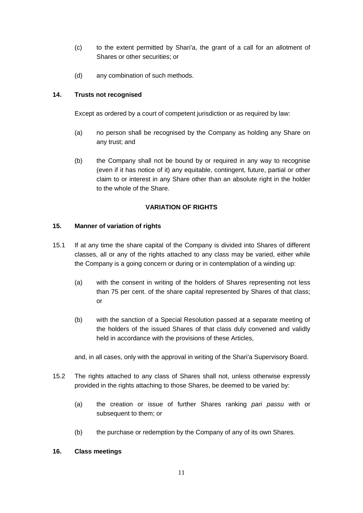- (c) to the extent permitted by Shari'a, the grant of a call for an allotment of Shares or other securities; or
- (d) any combination of such methods.

### **14. Trusts not recognised**

Except as ordered by a court of competent jurisdiction or as required by law:

- (a) no person shall be recognised by the Company as holding any Share on any trust; and
- (b) the Company shall not be bound by or required in any way to recognise (even if it has notice of it) any equitable, contingent, future, partial or other claim to or interest in any Share other than an absolute right in the holder to the whole of the Share.

### **VARIATION OF RIGHTS**

### **15. Manner of variation of rights**

- 15.1 If at any time the share capital of the Company is divided into Shares of different classes, all or any of the rights attached to any class may be varied, either while the Company is a going concern or during or in contemplation of a winding up:
	- (a) with the consent in writing of the holders of Shares representing not less than 75 per cent. of the share capital represented by Shares of that class; or
	- (b) with the sanction of a Special Resolution passed at a separate meeting of the holders of the issued Shares of that class duly convened and validly held in accordance with the provisions of these Articles,

and, in all cases, only with the approval in writing of the Shari'a Supervisory Board.

- 15.2 The rights attached to any class of Shares shall not, unless otherwise expressly provided in the rights attaching to those Shares, be deemed to be varied by:
	- (a) the creation or issue of further Shares ranking *pari passu* with or subsequent to them; or
	- (b) the purchase or redemption by the Company of any of its own Shares.

### **16. Class meetings**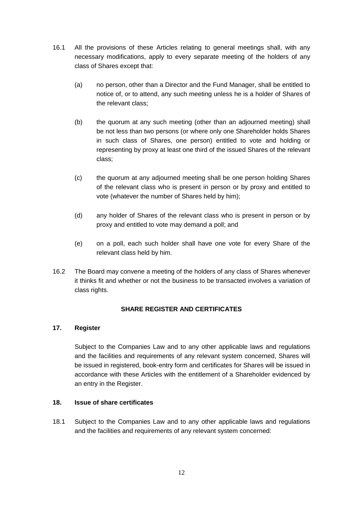- 16.1 All the provisions of these Articles relating to general meetings shall, with any necessary modifications, apply to every separate meeting of the holders of any class of Shares except that:
	- (a) no person, other than a Director and the Fund Manager, shall be entitled to notice of, or to attend, any such meeting unless he is a holder of Shares of the relevant class;
	- (b) the quorum at any such meeting (other than an adjourned meeting) shall be not less than two persons (or where only one Shareholder holds Shares in such class of Shares, one person) entitled to vote and holding or representing by proxy at least one third of the issued Shares of the relevant class;
	- (c) the quorum at any adjourned meeting shall be one person holding Shares of the relevant class who is present in person or by proxy and entitled to vote (whatever the number of Shares held by him);
	- (d) any holder of Shares of the relevant class who is present in person or by proxy and entitled to vote may demand a poll; and
	- (e) on a poll, each such holder shall have one vote for every Share of the relevant class held by him.
- 16.2 The Board may convene a meeting of the holders of any class of Shares whenever it thinks fit and whether or not the business to be transacted involves a variation of class rights.

### **SHARE REGISTER AND CERTIFICATES**

### **17. Register**

Subject to the Companies Law and to any other applicable laws and regulations and the facilities and requirements of any relevant system concerned, Shares will be issued in registered, book-entry form and certificates for Shares will be issued in accordance with these Articles with the entitlement of a Shareholder evidenced by an entry in the Register.

### **18. Issue of share certificates**

18.1 Subject to the Companies Law and to any other applicable laws and regulations and the facilities and requirements of any relevant system concerned: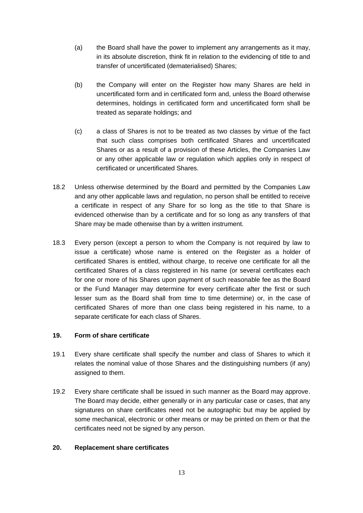- (a) the Board shall have the power to implement any arrangements as it may, in its absolute discretion, think fit in relation to the evidencing of title to and transfer of uncertificated (dematerialised) Shares;
- (b) the Company will enter on the Register how many Shares are held in uncertificated form and in certificated form and, unless the Board otherwise determines, holdings in certificated form and uncertificated form shall be treated as separate holdings; and
- (c) a class of Shares is not to be treated as two classes by virtue of the fact that such class comprises both certificated Shares and uncertificated Shares or as a result of a provision of these Articles, the Companies Law or any other applicable law or regulation which applies only in respect of certificated or uncertificated Shares.
- 18.2 Unless otherwise determined by the Board and permitted by the Companies Law and any other applicable laws and regulation, no person shall be entitled to receive a certificate in respect of any Share for so long as the title to that Share is evidenced otherwise than by a certificate and for so long as any transfers of that Share may be made otherwise than by a written instrument.
- 18.3 Every person (except a person to whom the Company is not required by law to issue a certificate) whose name is entered on the Register as a holder of certificated Shares is entitled, without charge, to receive one certificate for all the certificated Shares of a class registered in his name (or several certificates each for one or more of his Shares upon payment of such reasonable fee as the Board or the Fund Manager may determine for every certificate after the first or such lesser sum as the Board shall from time to time determine) or, in the case of certificated Shares of more than one class being registered in his name, to a separate certificate for each class of Shares.

### **19. Form of share certificate**

- 19.1 Every share certificate shall specify the number and class of Shares to which it relates the nominal value of those Shares and the distinguishing numbers (if any) assigned to them.
- 19.2 Every share certificate shall be issued in such manner as the Board may approve. The Board may decide, either generally or in any particular case or cases, that any signatures on share certificates need not be autographic but may be applied by some mechanical, electronic or other means or may be printed on them or that the certificates need not be signed by any person.

#### **20. Replacement share certificates**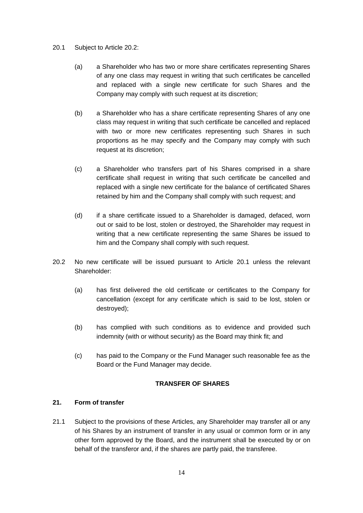#### <span id="page-20-1"></span>20.1 Subject to Article [20.2:](#page-20-0)

- (a) a Shareholder who has two or more share certificates representing Shares of any one class may request in writing that such certificates be cancelled and replaced with a single new certificate for such Shares and the Company may comply with such request at its discretion;
- (b) a Shareholder who has a share certificate representing Shares of any one class may request in writing that such certificate be cancelled and replaced with two or more new certificates representing such Shares in such proportions as he may specify and the Company may comply with such request at its discretion;
- (c) a Shareholder who transfers part of his Shares comprised in a share certificate shall request in writing that such certificate be cancelled and replaced with a single new certificate for the balance of certificated Shares retained by him and the Company shall comply with such request; and
- (d) if a share certificate issued to a Shareholder is damaged, defaced, worn out or said to be lost, stolen or destroyed, the Shareholder may request in writing that a new certificate representing the same Shares be issued to him and the Company shall comply with such request.
- <span id="page-20-0"></span>20.2 No new certificate will be issued pursuant to Article [20.1](#page-20-1) unless the relevant Shareholder:
	- (a) has first delivered the old certificate or certificates to the Company for cancellation (except for any certificate which is said to be lost, stolen or destroyed);
	- (b) has complied with such conditions as to evidence and provided such indemnity (with or without security) as the Board may think fit; and
	- (c) has paid to the Company or the Fund Manager such reasonable fee as the Board or the Fund Manager may decide.

#### **TRANSFER OF SHARES**

### **21. Form of transfer**

21.1 Subject to the provisions of these Articles, any Shareholder may transfer all or any of his Shares by an instrument of transfer in any usual or common form or in any other form approved by the Board, and the instrument shall be executed by or on behalf of the transferor and, if the shares are partly paid, the transferee.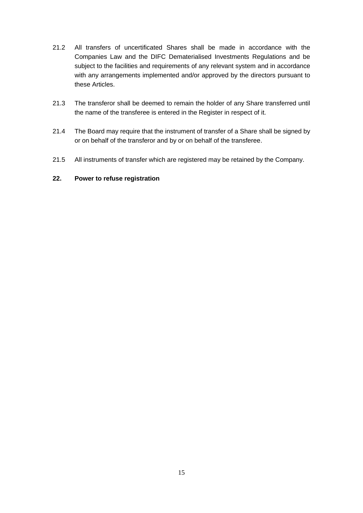- 21.2 All transfers of uncertificated Shares shall be made in accordance with the Companies Law and the DIFC Dematerialised Investments Regulations and be subject to the facilities and requirements of any relevant system and in accordance with any arrangements implemented and/or approved by the directors pursuant to these Articles.
- 21.3 The transferor shall be deemed to remain the holder of any Share transferred until the name of the transferee is entered in the Register in respect of it.
- 21.4 The Board may require that the instrument of transfer of a Share shall be signed by or on behalf of the transferor and by or on behalf of the transferee.
- 21.5 All instruments of transfer which are registered may be retained by the Company.

### <span id="page-21-0"></span>**22. Power to refuse registration**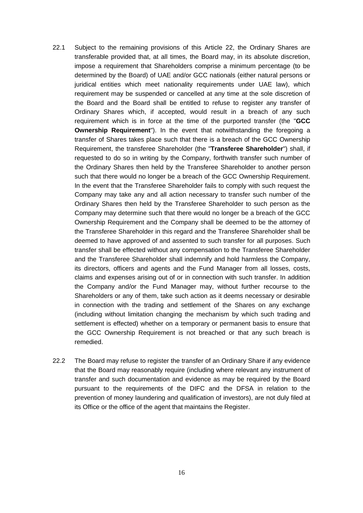- <span id="page-22-0"></span>22.1 Subject to the remaining provisions of this Article [22,](#page-21-0) the Ordinary Shares are transferable provided that, at all times, the Board may, in its absolute discretion, impose a requirement that Shareholders comprise a minimum percentage (to be determined by the Board) of UAE and/or GCC nationals (either natural persons or juridical entities which meet nationality requirements under UAE law), which requirement may be suspended or cancelled at any time at the sole discretion of the Board and the Board shall be entitled to refuse to register any transfer of Ordinary Shares which, if accepted, would result in a breach of any such requirement which is in force at the time of the purported transfer (the "**GCC Ownership Requirement**"). In the event that notwithstanding the foregoing a transfer of Shares takes place such that there is a breach of the GCC Ownership Requirement, the transferee Shareholder (the "**Transferee Shareholder**") shall, if requested to do so in writing by the Company, forthwith transfer such number of the Ordinary Shares then held by the Transferee Shareholder to another person such that there would no longer be a breach of the GCC Ownership Requirement. In the event that the Transferee Shareholder fails to comply with such request the Company may take any and all action necessary to transfer such number of the Ordinary Shares then held by the Transferee Shareholder to such person as the Company may determine such that there would no longer be a breach of the GCC Ownership Requirement and the Company shall be deemed to be the attorney of the Transferee Shareholder in this regard and the Transferee Shareholder shall be deemed to have approved of and assented to such transfer for all purposes. Such transfer shall be effected without any compensation to the Transferee Shareholder and the Transferee Shareholder shall indemnify and hold harmless the Company, its directors, officers and agents and the Fund Manager from all losses, costs, claims and expenses arising out of or in connection with such transfer. In addition the Company and/or the Fund Manager may, without further recourse to the Shareholders or any of them, take such action as it deems necessary or desirable in connection with the trading and settlement of the Shares on any exchange (including without limitation changing the mechanism by which such trading and settlement is effected) whether on a temporary or permanent basis to ensure that the GCC Ownership Requirement is not breached or that any such breach is remedied.
- <span id="page-22-1"></span>22.2 The Board may refuse to register the transfer of an Ordinary Share if any evidence that the Board may reasonably require (including where relevant any instrument of transfer and such documentation and evidence as may be required by the Board pursuant to the requirements of the DIFC and the DFSA in relation to the prevention of money laundering and qualification of investors), are not duly filed at its Office or the office of the agent that maintains the Register.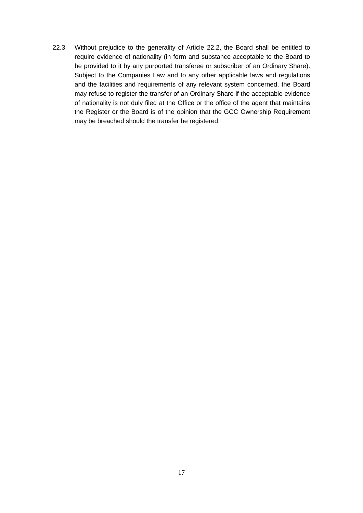22.3 Without prejudice to the generality of Article [22.2,](#page-22-1) the Board shall be entitled to require evidence of nationality (in form and substance acceptable to the Board to be provided to it by any purported transferee or subscriber of an Ordinary Share). Subject to the Companies Law and to any other applicable laws and regulations and the facilities and requirements of any relevant system concerned, the Board may refuse to register the transfer of an Ordinary Share if the acceptable evidence of nationality is not duly filed at the Office or the office of the agent that maintains the Register or the Board is of the opinion that the GCC Ownership Requirement may be breached should the transfer be registered.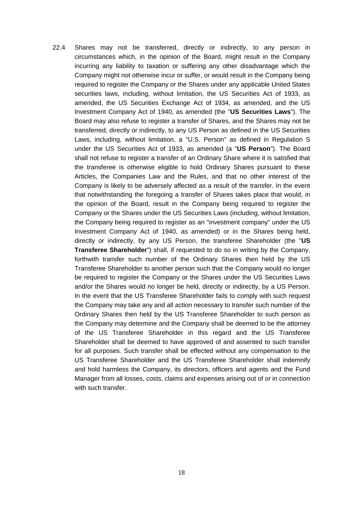<span id="page-24-0"></span>22.4 Shares may not be transferred, directly or indirectly, to any person in circumstances which, in the opinion of the Board, might result in the Company incurring any liability to taxation or suffering any other disadvantage which the Company might not otherwise incur or suffer, or would result in the Company being required to register the Company or the Shares under any applicable United States securities laws, including, without limitation, the US Securities Act of 1933, as amended, the US Securities Exchange Act of 1934, as amended, and the US Investment Company Act of 1940, as amended (the "**US Securities Laws**"). The Board may also refuse to register a transfer of Shares, and the Shares may not be transferred, directly or indirectly, to any US Person as defined in the US Securities Laws, including, without limitation, a "U.S. Person" as defined in Regulation S under the US Securities Act of 1933, as amended (a "**US Person**"). The Board shall not refuse to register a transfer of an Ordinary Share where it is satisfied that the transferee is otherwise eligible to hold Ordinary Shares pursuant to these Articles, the Companies Law and the Rules, and that no other interest of the Company is likely to be adversely affected as a result of the transfer. In the event that notwithstanding the foregoing a transfer of Shares takes place that would, in the opinion of the Board, result in the Company being required to register the Company or the Shares under the US Securities Laws (including, without limitation, the Company being required to register as an "investment company" under the US Investment Company Act of 1940, as amended) or in the Shares being held, directly or indirectly, by any US Person, the transferee Shareholder (the "**US Transferee Shareholder**") shall, if requested to do so in writing by the Company, forthwith transfer such number of the Ordinary Shares then held by the US Transferee Shareholder to another person such that the Company would no longer be required to register the Company or the Shares under the US Securities Laws and/or the Shares would no longer be held, directly or indirectly, by a US Person. In the event that the US Transferee Shareholder fails to comply with such request the Company may take any and all action necessary to transfer such number of the Ordinary Shares then held by the US Transferee Shareholder to such person as the Company may determine and the Company shall be deemed to be the attorney of the US Transferee Shareholder in this regard and the US Transferee Shareholder shall be deemed to have approved of and assented to such transfer for all purposes. Such transfer shall be effected without any compensation to the US Transferee Shareholder and the US Transferee Shareholder shall indemnify and hold harmless the Company, its directors, officers and agents and the Fund Manager from all losses, costs, claims and expenses arising out of or in connection with such transfer.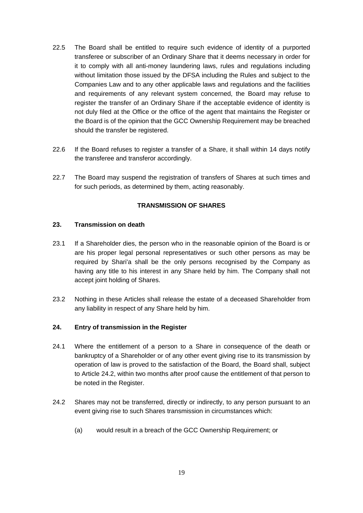- 22.5 The Board shall be entitled to require such evidence of identity of a purported transferee or subscriber of an Ordinary Share that it deems necessary in order for it to comply with all anti-money laundering laws, rules and regulations including without limitation those issued by the DFSA including the Rules and subject to the Companies Law and to any other applicable laws and regulations and the facilities and requirements of any relevant system concerned, the Board may refuse to register the transfer of an Ordinary Share if the acceptable evidence of identity is not duly filed at the Office or the office of the agent that maintains the Register or the Board is of the opinion that the GCC Ownership Requirement may be breached should the transfer be registered.
- 22.6 If the Board refuses to register a transfer of a Share, it shall within 14 days notify the transferee and transferor accordingly.
- 22.7 The Board may suspend the registration of transfers of Shares at such times and for such periods, as determined by them, acting reasonably.

#### **TRANSMISSION OF SHARES**

#### **23. Transmission on death**

- 23.1 If a Shareholder dies, the person who in the reasonable opinion of the Board is or are his proper legal personal representatives or such other persons as may be required by Shari'a shall be the only persons recognised by the Company as having any title to his interest in any Share held by him. The Company shall not accept joint holding of Shares.
- 23.2 Nothing in these Articles shall release the estate of a deceased Shareholder from any liability in respect of any Share held by him.

#### **24. Entry of transmission in the Register**

- 24.1 Where the entitlement of a person to a Share in consequence of the death or bankruptcy of a Shareholder or of any other event giving rise to its transmission by operation of law is proved to the satisfaction of the Board, the Board shall, subject to Article [24.2,](#page-25-0) within two months after proof cause the entitlement of that person to be noted in the Register.
- <span id="page-25-0"></span>24.2 Shares may not be transferred, directly or indirectly, to any person pursuant to an event giving rise to such Shares transmission in circumstances which:
	- (a) would result in a breach of the GCC Ownership Requirement; or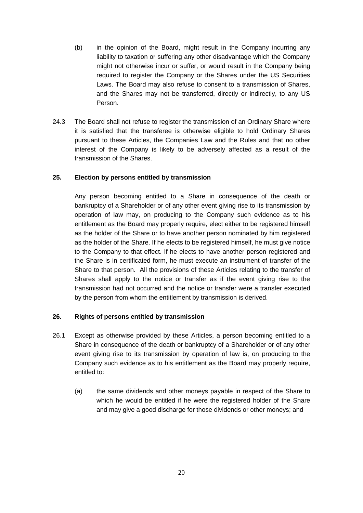- (b) in the opinion of the Board, might result in the Company incurring any liability to taxation or suffering any other disadvantage which the Company might not otherwise incur or suffer, or would result in the Company being required to register the Company or the Shares under the US Securities Laws. The Board may also refuse to consent to a transmission of Shares, and the Shares may not be transferred, directly or indirectly, to any US Person.
- 24.3 The Board shall not refuse to register the transmission of an Ordinary Share where it is satisfied that the transferee is otherwise eligible to hold Ordinary Shares pursuant to these Articles, the Companies Law and the Rules and that no other interest of the Company is likely to be adversely affected as a result of the transmission of the Shares.

#### **25. Election by persons entitled by transmission**

Any person becoming entitled to a Share in consequence of the death or bankruptcy of a Shareholder or of any other event giving rise to its transmission by operation of law may, on producing to the Company such evidence as to his entitlement as the Board may properly require, elect either to be registered himself as the holder of the Share or to have another person nominated by him registered as the holder of the Share. If he elects to be registered himself, he must give notice to the Company to that effect. If he elects to have another person registered and the Share is in certificated form, he must execute an instrument of transfer of the Share to that person. All the provisions of these Articles relating to the transfer of Shares shall apply to the notice or transfer as if the event giving rise to the transmission had not occurred and the notice or transfer were a transfer executed by the person from whom the entitlement by transmission is derived.

#### **26. Rights of persons entitled by transmission**

- 26.1 Except as otherwise provided by these Articles, a person becoming entitled to a Share in consequence of the death or bankruptcy of a Shareholder or of any other event giving rise to its transmission by operation of law is, on producing to the Company such evidence as to his entitlement as the Board may properly require, entitled to:
	- (a) the same dividends and other moneys payable in respect of the Share to which he would be entitled if he were the registered holder of the Share and may give a good discharge for those dividends or other moneys; and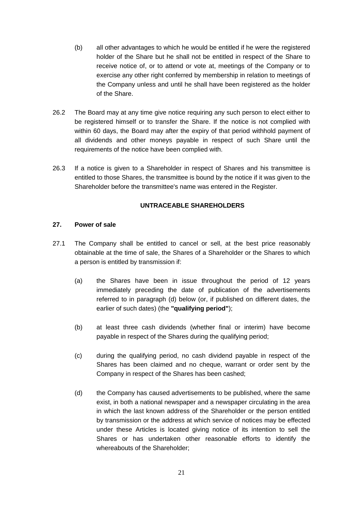- (b) all other advantages to which he would be entitled if he were the registered holder of the Share but he shall not be entitled in respect of the Share to receive notice of, or to attend or vote at, meetings of the Company or to exercise any other right conferred by membership in relation to meetings of the Company unless and until he shall have been registered as the holder of the Share.
- 26.2 The Board may at any time give notice requiring any such person to elect either to be registered himself or to transfer the Share. If the notice is not complied with within 60 days, the Board may after the expiry of that period withhold payment of all dividends and other moneys payable in respect of such Share until the requirements of the notice have been complied with.
- 26.3 If a notice is given to a Shareholder in respect of Shares and his transmittee is entitled to those Shares, the transmittee is bound by the notice if it was given to the Shareholder before the transmittee's name was entered in the Register.

#### **UNTRACEABLE SHAREHOLDERS**

#### **27. Power of sale**

- <span id="page-27-0"></span>27.1 The Company shall be entitled to cancel or sell, at the best price reasonably obtainable at the time of sale, the Shares of a Shareholder or the Shares to which a person is entitled by transmission if:
	- (a) the Shares have been in issue throughout the period of 12 years immediately preceding the date of publication of the advertisements referred to in paragraph (d) below (or, if published on different dates, the earlier of such dates) (the **"qualifying period"**);
	- (b) at least three cash dividends (whether final or interim) have become payable in respect of the Shares during the qualifying period;
	- (c) during the qualifying period, no cash dividend payable in respect of the Shares has been claimed and no cheque, warrant or order sent by the Company in respect of the Shares has been cashed;
	- (d) the Company has caused advertisements to be published, where the same exist, in both a national newspaper and a newspaper circulating in the area in which the last known address of the Shareholder or the person entitled by transmission or the address at which service of notices may be effected under these Articles is located giving notice of its intention to sell the Shares or has undertaken other reasonable efforts to identify the whereabouts of the Shareholder;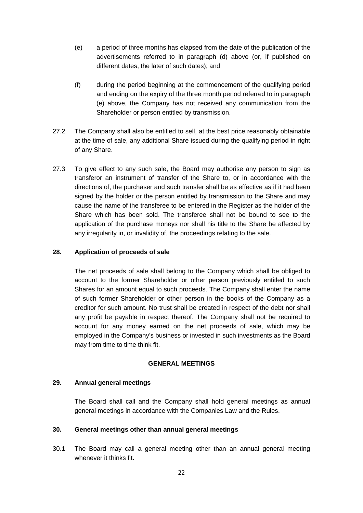- (e) a period of three months has elapsed from the date of the publication of the advertisements referred to in paragraph (d) above (or, if published on different dates, the later of such dates); and
- (f) during the period beginning at the commencement of the qualifying period and ending on the expiry of the three month period referred to in paragraph (e) above, the Company has not received any communication from the Shareholder or person entitled by transmission.
- 27.2 The Company shall also be entitled to sell, at the best price reasonably obtainable at the time of sale, any additional Share issued during the qualifying period in right of any Share.
- 27.3 To give effect to any such sale, the Board may authorise any person to sign as transferor an instrument of transfer of the Share to, or in accordance with the directions of, the purchaser and such transfer shall be as effective as if it had been signed by the holder or the person entitled by transmission to the Share and may cause the name of the transferee to be entered in the Register as the holder of the Share which has been sold. The transferee shall not be bound to see to the application of the purchase moneys nor shall his title to the Share be affected by any irregularity in, or invalidity of, the proceedings relating to the sale.

#### **28. Application of proceeds of sale**

The net proceeds of sale shall belong to the Company which shall be obliged to account to the former Shareholder or other person previously entitled to such Shares for an amount equal to such proceeds. The Company shall enter the name of such former Shareholder or other person in the books of the Company as a creditor for such amount. No trust shall be created in respect of the debt nor shall any profit be payable in respect thereof. The Company shall not be required to account for any money earned on the net proceeds of sale, which may be employed in the Company's business or invested in such investments as the Board may from time to time think fit.

### **GENERAL MEETINGS**

#### **29. Annual general meetings**

The Board shall call and the Company shall hold general meetings as annual general meetings in accordance with the Companies Law and the Rules.

#### **30. General meetings other than annual general meetings**

30.1 The Board may call a general meeting other than an annual general meeting whenever it thinks fit.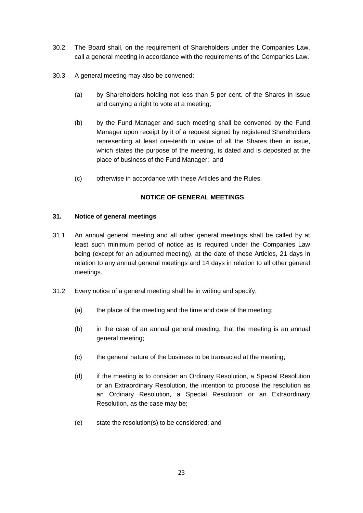- 30.2 The Board shall, on the requirement of Shareholders under the Companies Law, call a general meeting in accordance with the requirements of the Companies Law.
- 30.3 A general meeting may also be convened:
	- (a) by Shareholders holding not less than 5 per cent. of the Shares in issue and carrying a right to vote at a meeting:
	- (b) by the Fund Manager and such meeting shall be convened by the Fund Manager upon receipt by it of a request signed by registered Shareholders representing at least one-tenth in value of all the Shares then in issue, which states the purpose of the meeting, is dated and is deposited at the place of business of the Fund Manager; and
	- (c) otherwise in accordance with these Articles and the Rules.

#### **NOTICE OF GENERAL MEETINGS**

#### <span id="page-29-0"></span>**31. Notice of general meetings**

- 31.1 An annual general meeting and all other general meetings shall be called by at least such minimum period of notice as is required under the Companies Law being (except for an adjourned meeting), at the date of these Articles, 21 days in relation to any annual general meetings and 14 days in relation to all other general meetings.
- 31.2 Every notice of a general meeting shall be in writing and specify:
	- (a) the place of the meeting and the time and date of the meeting;
	- (b) in the case of an annual general meeting, that the meeting is an annual general meeting;
	- (c) the general nature of the business to be transacted at the meeting;
	- (d) if the meeting is to consider an Ordinary Resolution, a Special Resolution or an Extraordinary Resolution, the intention to propose the resolution as an Ordinary Resolution, a Special Resolution or an Extraordinary Resolution, as the case may be;
	- (e) state the resolution(s) to be considered; and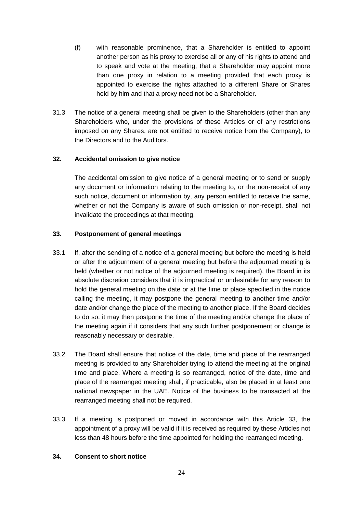- (f) with reasonable prominence, that a Shareholder is entitled to appoint another person as his proxy to exercise all or any of his rights to attend and to speak and vote at the meeting, that a Shareholder may appoint more than one proxy in relation to a meeting provided that each proxy is appointed to exercise the rights attached to a different Share or Shares held by him and that a proxy need not be a Shareholder.
- 31.3 The notice of a general meeting shall be given to the Shareholders (other than any Shareholders who, under the provisions of these Articles or of any restrictions imposed on any Shares, are not entitled to receive notice from the Company), to the Directors and to the Auditors.

#### **32. Accidental omission to give notice**

The accidental omission to give notice of a general meeting or to send or supply any document or information relating to the meeting to, or the non-receipt of any such notice, document or information by, any person entitled to receive the same, whether or not the Company is aware of such omission or non-receipt, shall not invalidate the proceedings at that meeting.

#### <span id="page-30-0"></span>**33. Postponement of general meetings**

- 33.1 If, after the sending of a notice of a general meeting but before the meeting is held or after the adjournment of a general meeting but before the adjourned meeting is held (whether or not notice of the adjourned meeting is required), the Board in its absolute discretion considers that it is impractical or undesirable for any reason to hold the general meeting on the date or at the time or place specified in the notice calling the meeting, it may postpone the general meeting to another time and/or date and/or change the place of the meeting to another place. If the Board decides to do so, it may then postpone the time of the meeting and/or change the place of the meeting again if it considers that any such further postponement or change is reasonably necessary or desirable.
- 33.2 The Board shall ensure that notice of the date, time and place of the rearranged meeting is provided to any Shareholder trying to attend the meeting at the original time and place. Where a meeting is so rearranged, notice of the date, time and place of the rearranged meeting shall, if practicable, also be placed in at least one national newspaper in the UAE. Notice of the business to be transacted at the rearranged meeting shall not be required.
- 33.3 If a meeting is postponed or moved in accordance with this Article [33,](#page-30-0) the appointment of a proxy will be valid if it is received as required by these Articles not less than 48 hours before the time appointed for holding the rearranged meeting.

#### **34. Consent to short notice**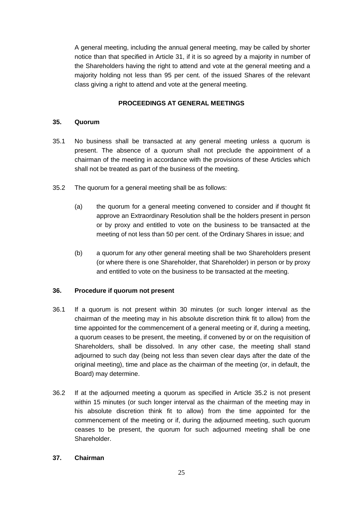A general meeting, including the annual general meeting, may be called by shorter notice than that specified in Article [31,](#page-29-0) if it is so agreed by a majority in number of the Shareholders having the right to attend and vote at the general meeting and a majority holding not less than 95 per cent. of the issued Shares of the relevant class giving a right to attend and vote at the general meeting.

### **PROCEEDINGS AT GENERAL MEETINGS**

### **35. Quorum**

- 35.1 No business shall be transacted at any general meeting unless a quorum is present. The absence of a quorum shall not preclude the appointment of a chairman of the meeting in accordance with the provisions of these Articles which shall not be treated as part of the business of the meeting.
- <span id="page-31-0"></span>35.2 The quorum for a general meeting shall be as follows:
	- (a) the quorum for a general meeting convened to consider and if thought fit approve an Extraordinary Resolution shall be the holders present in person or by proxy and entitled to vote on the business to be transacted at the meeting of not less than 50 per cent. of the Ordinary Shares in issue; and
	- (b) a quorum for any other general meeting shall be two Shareholders present (or where there is one Shareholder, that Shareholder) in person or by proxy and entitled to vote on the business to be transacted at the meeting.

### **36. Procedure if quorum not present**

- 36.1 If a quorum is not present within 30 minutes (or such longer interval as the chairman of the meeting may in his absolute discretion think fit to allow) from the time appointed for the commencement of a general meeting or if, during a meeting, a quorum ceases to be present, the meeting, if convened by or on the requisition of Shareholders, shall be dissolved. In any other case, the meeting shall stand adjourned to such day (being not less than seven clear days after the date of the original meeting), time and place as the chairman of the meeting (or, in default, the Board) may determine.
- 36.2 If at the adjourned meeting a quorum as specified in Article [35.2](#page-31-0) is not present within 15 minutes (or such longer interval as the chairman of the meeting may in his absolute discretion think fit to allow) from the time appointed for the commencement of the meeting or if, during the adjourned meeting, such quorum ceases to be present, the quorum for such adjourned meeting shall be one Shareholder.

### <span id="page-31-1"></span>**37. Chairman**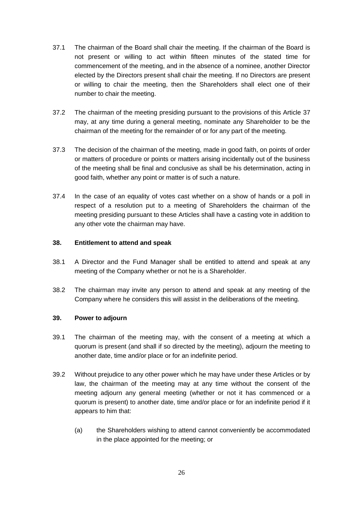- 37.1 The chairman of the Board shall chair the meeting. If the chairman of the Board is not present or willing to act within fifteen minutes of the stated time for commencement of the meeting, and in the absence of a nominee, another Director elected by the Directors present shall chair the meeting. If no Directors are present or willing to chair the meeting, then the Shareholders shall elect one of their number to chair the meeting.
- 37.2 The chairman of the meeting presiding pursuant to the provisions of this Article [37](#page-31-1) may, at any time during a general meeting, nominate any Shareholder to be the chairman of the meeting for the remainder of or for any part of the meeting.
- 37.3 The decision of the chairman of the meeting, made in good faith, on points of order or matters of procedure or points or matters arising incidentally out of the business of the meeting shall be final and conclusive as shall be his determination, acting in good faith, whether any point or matter is of such a nature.
- 37.4 In the case of an equality of votes cast whether on a show of hands or a poll in respect of a resolution put to a meeting of Shareholders the chairman of the meeting presiding pursuant to these Articles shall have a casting vote in addition to any other vote the chairman may have.

#### **38. Entitlement to attend and speak**

- 38.1 A Director and the Fund Manager shall be entitled to attend and speak at any meeting of the Company whether or not he is a Shareholder.
- 38.2 The chairman may invite any person to attend and speak at any meeting of the Company where he considers this will assist in the deliberations of the meeting.

### **39. Power to adjourn**

- 39.1 The chairman of the meeting may, with the consent of a meeting at which a quorum is present (and shall if so directed by the meeting), adjourn the meeting to another date, time and/or place or for an indefinite period.
- 39.2 Without prejudice to any other power which he may have under these Articles or by law, the chairman of the meeting may at any time without the consent of the meeting adjourn any general meeting (whether or not it has commenced or a quorum is present) to another date, time and/or place or for an indefinite period if it appears to him that:
	- (a) the Shareholders wishing to attend cannot conveniently be accommodated in the place appointed for the meeting; or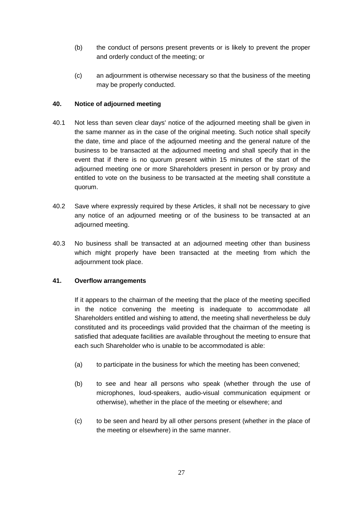- (b) the conduct of persons present prevents or is likely to prevent the proper and orderly conduct of the meeting; or
- (c) an adjournment is otherwise necessary so that the business of the meeting may be properly conducted.

### **40. Notice of adjourned meeting**

- 40.1 Not less than seven clear days' notice of the adjourned meeting shall be given in the same manner as in the case of the original meeting. Such notice shall specify the date, time and place of the adjourned meeting and the general nature of the business to be transacted at the adjourned meeting and shall specify that in the event that if there is no quorum present within 15 minutes of the start of the adjourned meeting one or more Shareholders present in person or by proxy and entitled to vote on the business to be transacted at the meeting shall constitute a quorum.
- 40.2 Save where expressly required by these Articles, it shall not be necessary to give any notice of an adjourned meeting or of the business to be transacted at an adjourned meeting.
- 40.3 No business shall be transacted at an adjourned meeting other than business which might properly have been transacted at the meeting from which the adjournment took place.

### **41. Overflow arrangements**

If it appears to the chairman of the meeting that the place of the meeting specified in the notice convening the meeting is inadequate to accommodate all Shareholders entitled and wishing to attend, the meeting shall nevertheless be duly constituted and its proceedings valid provided that the chairman of the meeting is satisfied that adequate facilities are available throughout the meeting to ensure that each such Shareholder who is unable to be accommodated is able:

- (a) to participate in the business for which the meeting has been convened;
- (b) to see and hear all persons who speak (whether through the use of microphones, loud-speakers, audio-visual communication equipment or otherwise), whether in the place of the meeting or elsewhere; and
- (c) to be seen and heard by all other persons present (whether in the place of the meeting or elsewhere) in the same manner.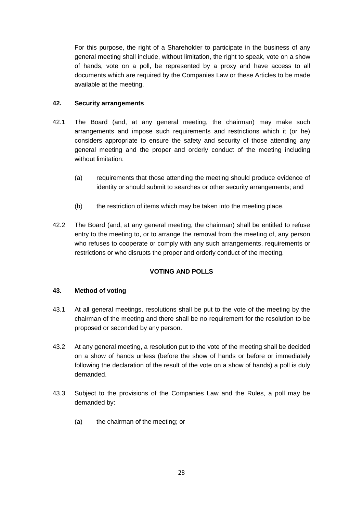For this purpose, the right of a Shareholder to participate in the business of any general meeting shall include, without limitation, the right to speak, vote on a show of hands, vote on a poll, be represented by a proxy and have access to all documents which are required by the Companies Law or these Articles to be made available at the meeting.

### **42. Security arrangements**

- 42.1 The Board (and, at any general meeting, the chairman) may make such arrangements and impose such requirements and restrictions which it (or he) considers appropriate to ensure the safety and security of those attending any general meeting and the proper and orderly conduct of the meeting including without limitation:
	- (a) requirements that those attending the meeting should produce evidence of identity or should submit to searches or other security arrangements; and
	- (b) the restriction of items which may be taken into the meeting place.
- 42.2 The Board (and, at any general meeting, the chairman) shall be entitled to refuse entry to the meeting to, or to arrange the removal from the meeting of, any person who refuses to cooperate or comply with any such arrangements, requirements or restrictions or who disrupts the proper and orderly conduct of the meeting.

### **VOTING AND POLLS**

### **43. Method of voting**

- 43.1 At all general meetings, resolutions shall be put to the vote of the meeting by the chairman of the meeting and there shall be no requirement for the resolution to be proposed or seconded by any person.
- 43.2 At any general meeting, a resolution put to the vote of the meeting shall be decided on a show of hands unless (before the show of hands or before or immediately following the declaration of the result of the vote on a show of hands) a poll is duly demanded.
- 43.3 Subject to the provisions of the Companies Law and the Rules, a poll may be demanded by:
	- (a) the chairman of the meeting; or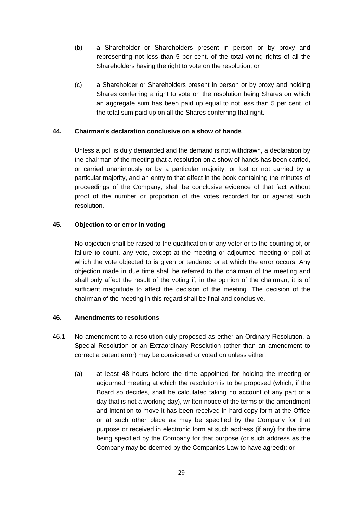- (b) a Shareholder or Shareholders present in person or by proxy and representing not less than 5 per cent. of the total voting rights of all the Shareholders having the right to vote on the resolution; or
- (c) a Shareholder or Shareholders present in person or by proxy and holding Shares conferring a right to vote on the resolution being Shares on which an aggregate sum has been paid up equal to not less than 5 per cent. of the total sum paid up on all the Shares conferring that right.

#### **44. Chairman's declaration conclusive on a show of hands**

Unless a poll is duly demanded and the demand is not withdrawn, a declaration by the chairman of the meeting that a resolution on a show of hands has been carried, or carried unanimously or by a particular majority, or lost or not carried by a particular majority, and an entry to that effect in the book containing the minutes of proceedings of the Company, shall be conclusive evidence of that fact without proof of the number or proportion of the votes recorded for or against such resolution.

#### **45. Objection to or error in voting**

No objection shall be raised to the qualification of any voter or to the counting of, or failure to count, any vote, except at the meeting or adjourned meeting or poll at which the vote objected to is given or tendered or at which the error occurs. Any objection made in due time shall be referred to the chairman of the meeting and shall only affect the result of the voting if, in the opinion of the chairman, it is of sufficient magnitude to affect the decision of the meeting. The decision of the chairman of the meeting in this regard shall be final and conclusive.

### **46. Amendments to resolutions**

- 46.1 No amendment to a resolution duly proposed as either an Ordinary Resolution, a Special Resolution or an Extraordinary Resolution (other than an amendment to correct a patent error) may be considered or voted on unless either:
	- (a) at least 48 hours before the time appointed for holding the meeting or adjourned meeting at which the resolution is to be proposed (which, if the Board so decides, shall be calculated taking no account of any part of a day that is not a working day), written notice of the terms of the amendment and intention to move it has been received in hard copy form at the Office or at such other place as may be specified by the Company for that purpose or received in electronic form at such address (if any) for the time being specified by the Company for that purpose (or such address as the Company may be deemed by the Companies Law to have agreed); or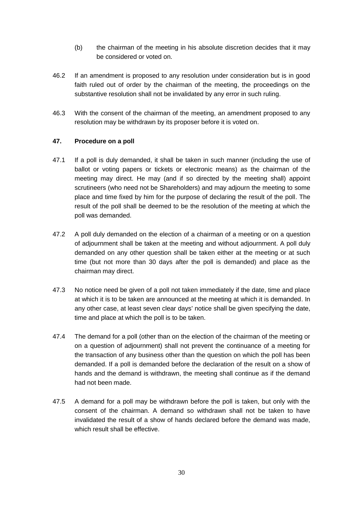- (b) the chairman of the meeting in his absolute discretion decides that it may be considered or voted on.
- 46.2 If an amendment is proposed to any resolution under consideration but is in good faith ruled out of order by the chairman of the meeting, the proceedings on the substantive resolution shall not be invalidated by any error in such ruling.
- 46.3 With the consent of the chairman of the meeting, an amendment proposed to any resolution may be withdrawn by its proposer before it is voted on.

# **47. Procedure on a poll**

- 47.1 If a poll is duly demanded, it shall be taken in such manner (including the use of ballot or voting papers or tickets or electronic means) as the chairman of the meeting may direct. He may (and if so directed by the meeting shall) appoint scrutineers (who need not be Shareholders) and may adjourn the meeting to some place and time fixed by him for the purpose of declaring the result of the poll. The result of the poll shall be deemed to be the resolution of the meeting at which the poll was demanded.
- 47.2 A poll duly demanded on the election of a chairman of a meeting or on a question of adjournment shall be taken at the meeting and without adjournment. A poll duly demanded on any other question shall be taken either at the meeting or at such time (but not more than 30 days after the poll is demanded) and place as the chairman may direct.
- 47.3 No notice need be given of a poll not taken immediately if the date, time and place at which it is to be taken are announced at the meeting at which it is demanded. In any other case, at least seven clear days' notice shall be given specifying the date, time and place at which the poll is to be taken.
- 47.4 The demand for a poll (other than on the election of the chairman of the meeting or on a question of adjournment) shall not prevent the continuance of a meeting for the transaction of any business other than the question on which the poll has been demanded. If a poll is demanded before the declaration of the result on a show of hands and the demand is withdrawn, the meeting shall continue as if the demand had not been made.
- 47.5 A demand for a poll may be withdrawn before the poll is taken, but only with the consent of the chairman. A demand so withdrawn shall not be taken to have invalidated the result of a show of hands declared before the demand was made, which result shall be effective.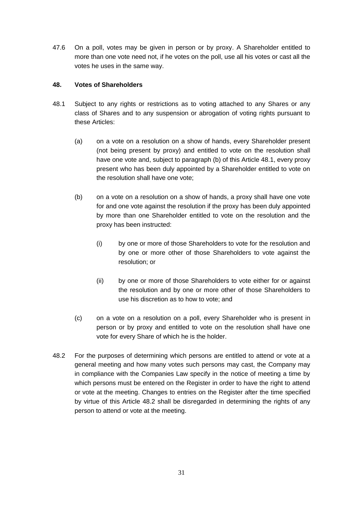47.6 On a poll, votes may be given in person or by proxy. A Shareholder entitled to more than one vote need not, if he votes on the poll, use all his votes or cast all the votes he uses in the same way.

# **48. Votes of Shareholders**

- <span id="page-37-0"></span>48.1 Subject to any rights or restrictions as to voting attached to any Shares or any class of Shares and to any suspension or abrogation of voting rights pursuant to these Articles:
	- (a) on a vote on a resolution on a show of hands, every Shareholder present (not being present by proxy) and entitled to vote on the resolution shall have one vote and, subject to paragraph (b) of this Article [48.1,](#page-37-0) every proxy present who has been duly appointed by a Shareholder entitled to vote on the resolution shall have one vote;
	- (b) on a vote on a resolution on a show of hands, a proxy shall have one vote for and one vote against the resolution if the proxy has been duly appointed by more than one Shareholder entitled to vote on the resolution and the proxy has been instructed:
		- (i) by one or more of those Shareholders to vote for the resolution and by one or more other of those Shareholders to vote against the resolution; or
		- (ii) by one or more of those Shareholders to vote either for or against the resolution and by one or more other of those Shareholders to use his discretion as to how to vote; and
	- (c) on a vote on a resolution on a poll, every Shareholder who is present in person or by proxy and entitled to vote on the resolution shall have one vote for every Share of which he is the holder.
- <span id="page-37-1"></span>48.2 For the purposes of determining which persons are entitled to attend or vote at a general meeting and how many votes such persons may cast, the Company may in compliance with the Companies Law specify in the notice of meeting a time by which persons must be entered on the Register in order to have the right to attend or vote at the meeting. Changes to entries on the Register after the time specified by virtue of this Article [48.2](#page-37-1) shall be disregarded in determining the rights of any person to attend or vote at the meeting.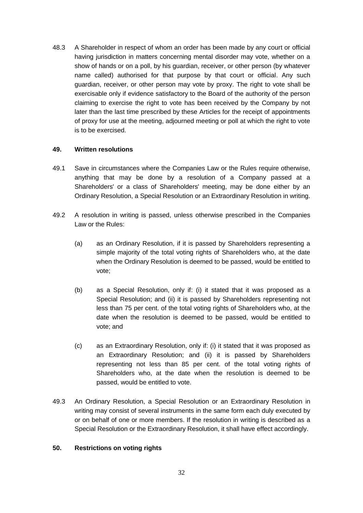48.3 A Shareholder in respect of whom an order has been made by any court or official having jurisdiction in matters concerning mental disorder may vote, whether on a show of hands or on a poll, by his guardian, receiver, or other person (by whatever name called) authorised for that purpose by that court or official. Any such guardian, receiver, or other person may vote by proxy. The right to vote shall be exercisable only if evidence satisfactory to the Board of the authority of the person claiming to exercise the right to vote has been received by the Company by not later than the last time prescribed by these Articles for the receipt of appointments of proxy for use at the meeting, adjourned meeting or poll at which the right to vote is to be exercised.

### **49. Written resolutions**

- 49.1 Save in circumstances where the Companies Law or the Rules require otherwise, anything that may be done by a resolution of a Company passed at a Shareholders' or a class of Shareholders' meeting, may be done either by an Ordinary Resolution, a Special Resolution or an Extraordinary Resolution in writing.
- 49.2 A resolution in writing is passed, unless otherwise prescribed in the Companies Law or the Rules:
	- (a) as an Ordinary Resolution, if it is passed by Shareholders representing a simple majority of the total voting rights of Shareholders who, at the date when the Ordinary Resolution is deemed to be passed, would be entitled to vote;
	- (b) as a Special Resolution, only if: (i) it stated that it was proposed as a Special Resolution; and (ii) it is passed by Shareholders representing not less than 75 per cent. of the total voting rights of Shareholders who, at the date when the resolution is deemed to be passed, would be entitled to vote; and
	- (c) as an Extraordinary Resolution, only if: (i) it stated that it was proposed as an Extraordinary Resolution; and (ii) it is passed by Shareholders representing not less than 85 per cent. of the total voting rights of Shareholders who, at the date when the resolution is deemed to be passed, would be entitled to vote.
- 49.3 An Ordinary Resolution, a Special Resolution or an Extraordinary Resolution in writing may consist of several instruments in the same form each duly executed by or on behalf of one or more members. If the resolution in writing is described as a Special Resolution or the Extraordinary Resolution, it shall have effect accordingly.

### **50. Restrictions on voting rights**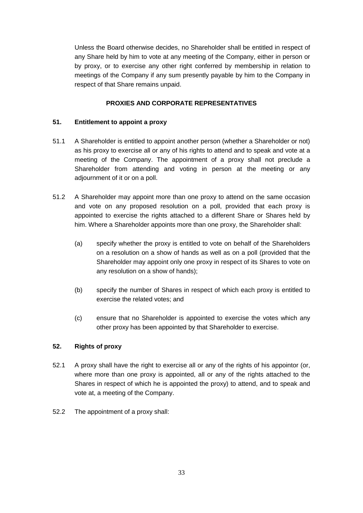Unless the Board otherwise decides, no Shareholder shall be entitled in respect of any Share held by him to vote at any meeting of the Company, either in person or by proxy, or to exercise any other right conferred by membership in relation to meetings of the Company if any sum presently payable by him to the Company in respect of that Share remains unpaid.

# **PROXIES AND CORPORATE REPRESENTATIVES**

## **51. Entitlement to appoint a proxy**

- 51.1 A Shareholder is entitled to appoint another person (whether a Shareholder or not) as his proxy to exercise all or any of his rights to attend and to speak and vote at a meeting of the Company. The appointment of a proxy shall not preclude a Shareholder from attending and voting in person at the meeting or any adiournment of it or on a poll.
- 51.2 A Shareholder may appoint more than one proxy to attend on the same occasion and vote on any proposed resolution on a poll, provided that each proxy is appointed to exercise the rights attached to a different Share or Shares held by him. Where a Shareholder appoints more than one proxy, the Shareholder shall:
	- (a) specify whether the proxy is entitled to vote on behalf of the Shareholders on a resolution on a show of hands as well as on a poll (provided that the Shareholder may appoint only one proxy in respect of its Shares to vote on any resolution on a show of hands);
	- (b) specify the number of Shares in respect of which each proxy is entitled to exercise the related votes; and
	- (c) ensure that no Shareholder is appointed to exercise the votes which any other proxy has been appointed by that Shareholder to exercise.

## **52. Rights of proxy**

- 52.1 A proxy shall have the right to exercise all or any of the rights of his appointor (or, where more than one proxy is appointed, all or any of the rights attached to the Shares in respect of which he is appointed the proxy) to attend, and to speak and vote at, a meeting of the Company.
- 52.2 The appointment of a proxy shall: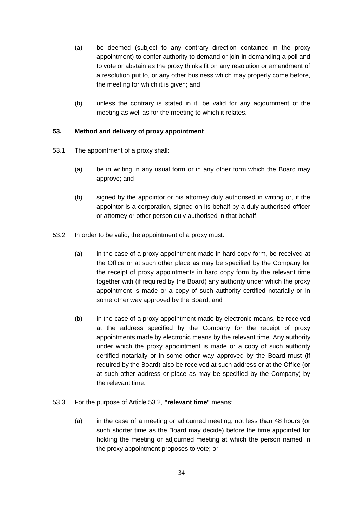- (a) be deemed (subject to any contrary direction contained in the proxy appointment) to confer authority to demand or join in demanding a poll and to vote or abstain as the proxy thinks fit on any resolution or amendment of a resolution put to, or any other business which may properly come before, the meeting for which it is given; and
- (b) unless the contrary is stated in it, be valid for any adjournment of the meeting as well as for the meeting to which it relates.

## <span id="page-40-2"></span>**53. Method and delivery of proxy appointment**

- 53.1 The appointment of a proxy shall:
	- (a) be in writing in any usual form or in any other form which the Board may approve; and
	- (b) signed by the appointor or his attorney duly authorised in writing or, if the appointor is a corporation, signed on its behalf by a duly authorised officer or attorney or other person duly authorised in that behalf.
- <span id="page-40-0"></span>53.2 In order to be valid, the appointment of a proxy must:
	- (a) in the case of a proxy appointment made in hard copy form, be received at the Office or at such other place as may be specified by the Company for the receipt of proxy appointments in hard copy form by the relevant time together with (if required by the Board) any authority under which the proxy appointment is made or a copy of such authority certified notarially or in some other way approved by the Board; and
	- (b) in the case of a proxy appointment made by electronic means, be received at the address specified by the Company for the receipt of proxy appointments made by electronic means by the relevant time. Any authority under which the proxy appointment is made or a copy of such authority certified notarially or in some other way approved by the Board must (if required by the Board) also be received at such address or at the Office (or at such other address or place as may be specified by the Company) by the relevant time.
- <span id="page-40-1"></span>53.3 For the purpose of Article [53.2,](#page-40-0) **"relevant time"** means:
	- (a) in the case of a meeting or adjourned meeting, not less than 48 hours (or such shorter time as the Board may decide) before the time appointed for holding the meeting or adjourned meeting at which the person named in the proxy appointment proposes to vote; or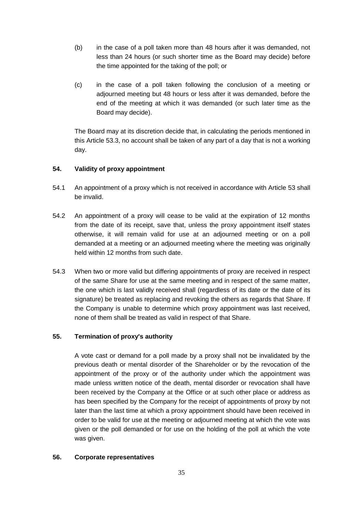- (b) in the case of a poll taken more than 48 hours after it was demanded, not less than 24 hours (or such shorter time as the Board may decide) before the time appointed for the taking of the poll; or
- (c) in the case of a poll taken following the conclusion of a meeting or adjourned meeting but 48 hours or less after it was demanded, before the end of the meeting at which it was demanded (or such later time as the Board may decide).

The Board may at its discretion decide that, in calculating the periods mentioned in this Article [53.3,](#page-40-1) no account shall be taken of any part of a day that is not a working day.

# **54. Validity of proxy appointment**

- 54.1 An appointment of a proxy which is not received in accordance with Article [53](#page-40-2) shall be invalid.
- 54.2 An appointment of a proxy will cease to be valid at the expiration of 12 months from the date of its receipt, save that, unless the proxy appointment itself states otherwise, it will remain valid for use at an adjourned meeting or on a poll demanded at a meeting or an adjourned meeting where the meeting was originally held within 12 months from such date.
- 54.3 When two or more valid but differing appointments of proxy are received in respect of the same Share for use at the same meeting and in respect of the same matter, the one which is last validly received shall (regardless of its date or the date of its signature) be treated as replacing and revoking the others as regards that Share. If the Company is unable to determine which proxy appointment was last received, none of them shall be treated as valid in respect of that Share.

# **55. Termination of proxy's authority**

A vote cast or demand for a poll made by a proxy shall not be invalidated by the previous death or mental disorder of the Shareholder or by the revocation of the appointment of the proxy or of the authority under which the appointment was made unless written notice of the death, mental disorder or revocation shall have been received by the Company at the Office or at such other place or address as has been specified by the Company for the receipt of appointments of proxy by not later than the last time at which a proxy appointment should have been received in order to be valid for use at the meeting or adjourned meeting at which the vote was given or the poll demanded or for use on the holding of the poll at which the vote was given.

# **56. Corporate representatives**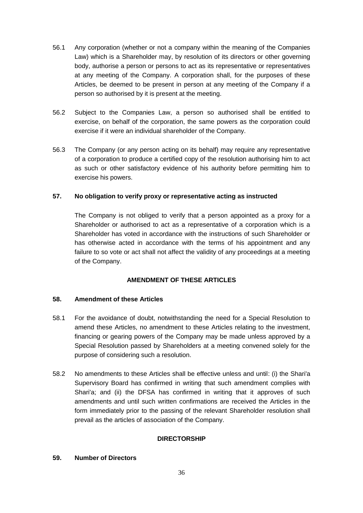- 56.1 Any corporation (whether or not a company within the meaning of the Companies Law) which is a Shareholder may, by resolution of its directors or other governing body, authorise a person or persons to act as its representative or representatives at any meeting of the Company. A corporation shall, for the purposes of these Articles, be deemed to be present in person at any meeting of the Company if a person so authorised by it is present at the meeting.
- 56.2 Subject to the Companies Law, a person so authorised shall be entitled to exercise, on behalf of the corporation, the same powers as the corporation could exercise if it were an individual shareholder of the Company.
- 56.3 The Company (or any person acting on its behalf) may require any representative of a corporation to produce a certified copy of the resolution authorising him to act as such or other satisfactory evidence of his authority before permitting him to exercise his powers.

## **57. No obligation to verify proxy or representative acting as instructed**

The Company is not obliged to verify that a person appointed as a proxy for a Shareholder or authorised to act as a representative of a corporation which is a Shareholder has voted in accordance with the instructions of such Shareholder or has otherwise acted in accordance with the terms of his appointment and any failure to so vote or act shall not affect the validity of any proceedings at a meeting of the Company.

### **AMENDMENT OF THESE ARTICLES**

### **58. Amendment of these Articles**

- 58.1 For the avoidance of doubt, notwithstanding the need for a Special Resolution to amend these Articles, no amendment to these Articles relating to the investment, financing or gearing powers of the Company may be made unless approved by a Special Resolution passed by Shareholders at a meeting convened solely for the purpose of considering such a resolution.
- 58.2 No amendments to these Articles shall be effective unless and until: (i) the Shari'a Supervisory Board has confirmed in writing that such amendment complies with Shari'a; and (ii) the DFSA has confirmed in writing that it approves of such amendments and until such written confirmations are received the Articles in the form immediately prior to the passing of the relevant Shareholder resolution shall prevail as the articles of association of the Company.

### **DIRECTORSHIP**

### **59. Number of Directors**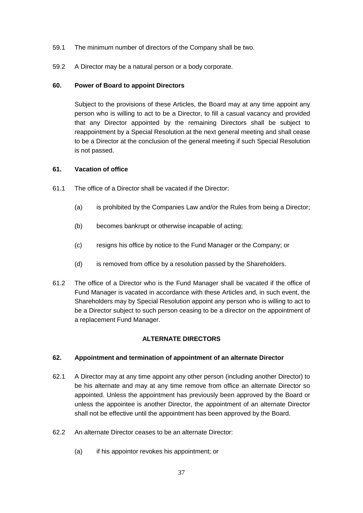- 59.1 The minimum number of directors of the Company shall be two.
- 59.2 A Director may be a natural person or a body corporate.

### **60. Power of Board to appoint Directors**

Subject to the provisions of these Articles, the Board may at any time appoint any person who is willing to act to be a Director, to fill a casual vacancy and provided that any Director appointed by the remaining Directors shall be subject to reappointment by a Special Resolution at the next general meeting and shall cease to be a Director at the conclusion of the general meeting if such Special Resolution is not passed.

## **61. Vacation of office**

- 61.1 The office of a Director shall be vacated if the Director:
	- (a) is prohibited by the Companies Law and/or the Rules from being a Director;
	- (b) becomes bankrupt or otherwise incapable of acting;
	- (c) resigns his office by notice to the Fund Manager or the Company; or
	- (d) is removed from office by a resolution passed by the Shareholders.
- 61.2 The office of a Director who is the Fund Manager shall be vacated if the office of Fund Manager is vacated in accordance with these Articles and, in such event, the Shareholders may by Special Resolution appoint any person who is willing to act to be a Director subject to such person ceasing to be a director on the appointment of a replacement Fund Manager.

# **ALTERNATE DIRECTORS**

### **62. Appointment and termination of appointment of an alternate Director**

- 62.1 A Director may at any time appoint any other person (including another Director) to be his alternate and may at any time remove from office an alternate Director so appointed. Unless the appointment has previously been approved by the Board or unless the appointee is another Director, the appointment of an alternate Director shall not be effective until the appointment has been approved by the Board.
- 62.2 An alternate Director ceases to be an alternate Director:
	- (a) if his appointor revokes his appointment; or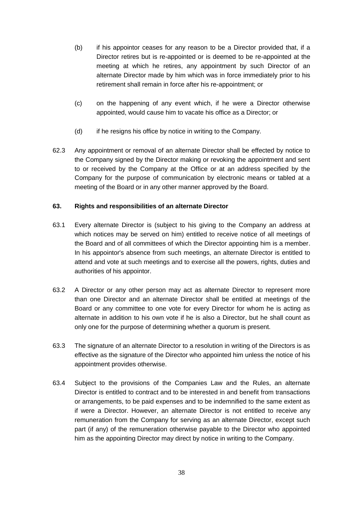- (b) if his appointor ceases for any reason to be a Director provided that, if a Director retires but is re-appointed or is deemed to be re-appointed at the meeting at which he retires, any appointment by such Director of an alternate Director made by him which was in force immediately prior to his retirement shall remain in force after his re-appointment; or
- (c) on the happening of any event which, if he were a Director otherwise appointed, would cause him to vacate his office as a Director; or
- (d) if he resigns his office by notice in writing to the Company.
- 62.3 Any appointment or removal of an alternate Director shall be effected by notice to the Company signed by the Director making or revoking the appointment and sent to or received by the Company at the Office or at an address specified by the Company for the purpose of communication by electronic means or tabled at a meeting of the Board or in any other manner approved by the Board.

# **63. Rights and responsibilities of an alternate Director**

- 63.1 Every alternate Director is (subject to his giving to the Company an address at which notices may be served on him) entitled to receive notice of all meetings of the Board and of all committees of which the Director appointing him is a member. In his appointor's absence from such meetings, an alternate Director is entitled to attend and vote at such meetings and to exercise all the powers, rights, duties and authorities of his appointor.
- 63.2 A Director or any other person may act as alternate Director to represent more than one Director and an alternate Director shall be entitled at meetings of the Board or any committee to one vote for every Director for whom he is acting as alternate in addition to his own vote if he is also a Director, but he shall count as only one for the purpose of determining whether a quorum is present.
- 63.3 The signature of an alternate Director to a resolution in writing of the Directors is as effective as the signature of the Director who appointed him unless the notice of his appointment provides otherwise.
- 63.4 Subject to the provisions of the Companies Law and the Rules, an alternate Director is entitled to contract and to be interested in and benefit from transactions or arrangements, to be paid expenses and to be indemnified to the same extent as if were a Director. However, an alternate Director is not entitled to receive any remuneration from the Company for serving as an alternate Director, except such part (if any) of the remuneration otherwise payable to the Director who appointed him as the appointing Director may direct by notice in writing to the Company.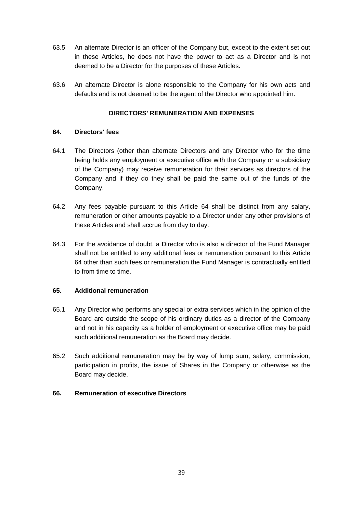- 63.5 An alternate Director is an officer of the Company but, except to the extent set out in these Articles, he does not have the power to act as a Director and is not deemed to be a Director for the purposes of these Articles.
- 63.6 An alternate Director is alone responsible to the Company for his own acts and defaults and is not deemed to be the agent of the Director who appointed him.

# **DIRECTORS' REMUNERATION AND EXPENSES**

### <span id="page-45-0"></span>**64. Directors' fees**

- 64.1 The Directors (other than alternate Directors and any Director who for the time being holds any employment or executive office with the Company or a subsidiary of the Company) may receive remuneration for their services as directors of the Company and if they do they shall be paid the same out of the funds of the Company.
- 64.2 Any fees payable pursuant to this Article [64](#page-45-0) shall be distinct from any salary, remuneration or other amounts payable to a Director under any other provisions of these Articles and shall accrue from day to day.
- 64.3 For the avoidance of doubt, a Director who is also a director of the Fund Manager shall not be entitled to any additional fees or remuneration pursuant to this Article [64](#page-45-0) other than such fees or remuneration the Fund Manager is contractually entitled to from time to time.

### **65. Additional remuneration**

- 65.1 Any Director who performs any special or extra services which in the opinion of the Board are outside the scope of his ordinary duties as a director of the Company and not in his capacity as a holder of employment or executive office may be paid such additional remuneration as the Board may decide.
- 65.2 Such additional remuneration may be by way of lump sum, salary, commission, participation in profits, the issue of Shares in the Company or otherwise as the Board may decide.

### **66. Remuneration of executive Directors**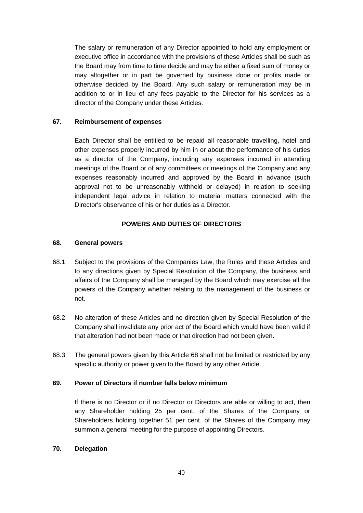The salary or remuneration of any Director appointed to hold any employment or executive office in accordance with the provisions of these Articles shall be such as the Board may from time to time decide and may be either a fixed sum of money or may altogether or in part be governed by business done or profits made or otherwise decided by the Board. Any such salary or remuneration may be in addition to or in lieu of any fees payable to the Director for his services as a director of the Company under these Articles.

### **67. Reimbursement of expenses**

Each Director shall be entitled to be repaid all reasonable travelling, hotel and other expenses properly incurred by him in or about the performance of his duties as a director of the Company, including any expenses incurred in attending meetings of the Board or of any committees or meetings of the Company and any expenses reasonably incurred and approved by the Board in advance (such approval not to be unreasonably withheld or delayed) in relation to seeking independent legal advice in relation to material matters connected with the Director's observance of his or her duties as a Director.

## **POWERS AND DUTIES OF DIRECTORS**

### <span id="page-46-0"></span>**68. General powers**

- 68.1 Subject to the provisions of the Companies Law, the Rules and these Articles and to any directions given by Special Resolution of the Company, the business and affairs of the Company shall be managed by the Board which may exercise all the powers of the Company whether relating to the management of the business or not.
- 68.2 No alteration of these Articles and no direction given by Special Resolution of the Company shall invalidate any prior act of the Board which would have been valid if that alteration had not been made or that direction had not been given.
- 68.3 The general powers given by this Article [68](#page-46-0) shall not be limited or restricted by any specific authority or power given to the Board by any other Article.

### **69. Power of Directors if number falls below minimum**

If there is no Director or if no Director or Directors are able or willing to act, then any Shareholder holding 25 per cent. of the Shares of the Company or Shareholders holding together 51 per cent. of the Shares of the Company may summon a general meeting for the purpose of appointing Directors.

## <span id="page-46-1"></span>**70. Delegation**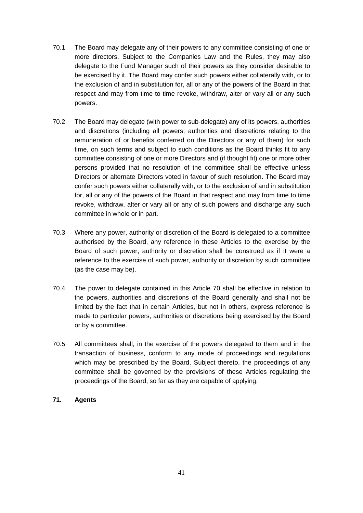- 70.1 The Board may delegate any of their powers to any committee consisting of one or more directors. Subject to the Companies Law and the Rules, they may also delegate to the Fund Manager such of their powers as they consider desirable to be exercised by it. The Board may confer such powers either collaterally with, or to the exclusion of and in substitution for, all or any of the powers of the Board in that respect and may from time to time revoke, withdraw, alter or vary all or any such powers.
- 70.2 The Board may delegate (with power to sub-delegate) any of its powers, authorities and discretions (including all powers, authorities and discretions relating to the remuneration of or benefits conferred on the Directors or any of them) for such time, on such terms and subject to such conditions as the Board thinks fit to any committee consisting of one or more Directors and (if thought fit) one or more other persons provided that no resolution of the committee shall be effective unless Directors or alternate Directors voted in favour of such resolution. The Board may confer such powers either collaterally with, or to the exclusion of and in substitution for, all or any of the powers of the Board in that respect and may from time to time revoke, withdraw, alter or vary all or any of such powers and discharge any such committee in whole or in part.
- 70.3 Where any power, authority or discretion of the Board is delegated to a committee authorised by the Board, any reference in these Articles to the exercise by the Board of such power, authority or discretion shall be construed as if it were a reference to the exercise of such power, authority or discretion by such committee (as the case may be).
- 70.4 The power to delegate contained in this Article [70](#page-46-1) shall be effective in relation to the powers, authorities and discretions of the Board generally and shall not be limited by the fact that in certain Articles, but not in others, express reference is made to particular powers, authorities or discretions being exercised by the Board or by a committee.
- 70.5 All committees shall, in the exercise of the powers delegated to them and in the transaction of business, conform to any mode of proceedings and regulations which may be prescribed by the Board. Subject thereto, the proceedings of any committee shall be governed by the provisions of these Articles regulating the proceedings of the Board, so far as they are capable of applying.

# **71. Agents**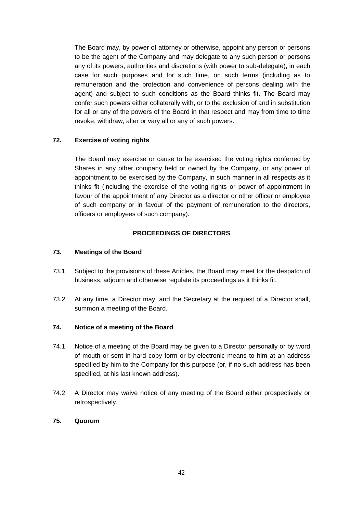The Board may, by power of attorney or otherwise, appoint any person or persons to be the agent of the Company and may delegate to any such person or persons any of its powers, authorities and discretions (with power to sub-delegate), in each case for such purposes and for such time, on such terms (including as to remuneration and the protection and convenience of persons dealing with the agent) and subject to such conditions as the Board thinks fit. The Board may confer such powers either collaterally with, or to the exclusion of and in substitution for all or any of the powers of the Board in that respect and may from time to time revoke, withdraw, alter or vary all or any of such powers.

# **72. Exercise of voting rights**

The Board may exercise or cause to be exercised the voting rights conferred by Shares in any other company held or owned by the Company, or any power of appointment to be exercised by the Company, in such manner in all respects as it thinks fit (including the exercise of the voting rights or power of appointment in favour of the appointment of any Director as a director or other officer or employee of such company or in favour of the payment of remuneration to the directors, officers or employees of such company).

## **PROCEEDINGS OF DIRECTORS**

#### **73. Meetings of the Board**

- 73.1 Subject to the provisions of these Articles, the Board may meet for the despatch of business, adjourn and otherwise regulate its proceedings as it thinks fit.
- 73.2 At any time, a Director may, and the Secretary at the request of a Director shall, summon a meeting of the Board.

### **74. Notice of a meeting of the Board**

- 74.1 Notice of a meeting of the Board may be given to a Director personally or by word of mouth or sent in hard copy form or by electronic means to him at an address specified by him to the Company for this purpose (or, if no such address has been specified, at his last known address).
- 74.2 A Director may waive notice of any meeting of the Board either prospectively or retrospectively.

## **75. Quorum**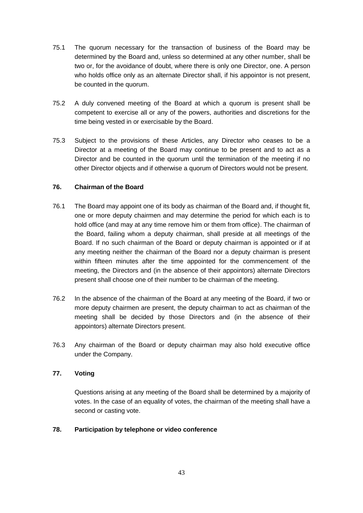- 75.1 The quorum necessary for the transaction of business of the Board may be determined by the Board and, unless so determined at any other number, shall be two or, for the avoidance of doubt, where there is only one Director, one. A person who holds office only as an alternate Director shall, if his appointor is not present, be counted in the quorum.
- 75.2 A duly convened meeting of the Board at which a quorum is present shall be competent to exercise all or any of the powers, authorities and discretions for the time being vested in or exercisable by the Board.
- 75.3 Subject to the provisions of these Articles, any Director who ceases to be a Director at a meeting of the Board may continue to be present and to act as a Director and be counted in the quorum until the termination of the meeting if no other Director objects and if otherwise a quorum of Directors would not be present.

## **76. Chairman of the Board**

- 76.1 The Board may appoint one of its body as chairman of the Board and, if thought fit, one or more deputy chairmen and may determine the period for which each is to hold office (and may at any time remove him or them from office). The chairman of the Board, failing whom a deputy chairman, shall preside at all meetings of the Board. If no such chairman of the Board or deputy chairman is appointed or if at any meeting neither the chairman of the Board nor a deputy chairman is present within fifteen minutes after the time appointed for the commencement of the meeting, the Directors and (in the absence of their appointors) alternate Directors present shall choose one of their number to be chairman of the meeting.
- 76.2 In the absence of the chairman of the Board at any meeting of the Board, if two or more deputy chairmen are present, the deputy chairman to act as chairman of the meeting shall be decided by those Directors and (in the absence of their appointors) alternate Directors present.
- 76.3 Any chairman of the Board or deputy chairman may also hold executive office under the Company.

# **77. Voting**

Questions arising at any meeting of the Board shall be determined by a majority of votes. In the case of an equality of votes, the chairman of the meeting shall have a second or casting vote.

### **78. Participation by telephone or video conference**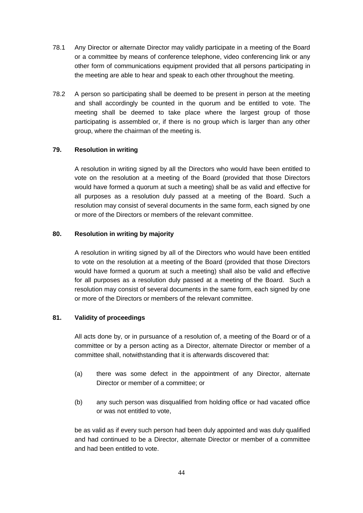- 78.1 Any Director or alternate Director may validly participate in a meeting of the Board or a committee by means of conference telephone, video conferencing link or any other form of communications equipment provided that all persons participating in the meeting are able to hear and speak to each other throughout the meeting.
- 78.2 A person so participating shall be deemed to be present in person at the meeting and shall accordingly be counted in the quorum and be entitled to vote. The meeting shall be deemed to take place where the largest group of those participating is assembled or, if there is no group which is larger than any other group, where the chairman of the meeting is.

# **79. Resolution in writing**

A resolution in writing signed by all the Directors who would have been entitled to vote on the resolution at a meeting of the Board (provided that those Directors would have formed a quorum at such a meeting) shall be as valid and effective for all purposes as a resolution duly passed at a meeting of the Board. Such a resolution may consist of several documents in the same form, each signed by one or more of the Directors or members of the relevant committee.

### **80. Resolution in writing by majority**

A resolution in writing signed by all of the Directors who would have been entitled to vote on the resolution at a meeting of the Board (provided that those Directors would have formed a quorum at such a meeting) shall also be valid and effective for all purposes as a resolution duly passed at a meeting of the Board. Such a resolution may consist of several documents in the same form, each signed by one or more of the Directors or members of the relevant committee.

### **81. Validity of proceedings**

All acts done by, or in pursuance of a resolution of, a meeting of the Board or of a committee or by a person acting as a Director, alternate Director or member of a committee shall, notwithstanding that it is afterwards discovered that:

- (a) there was some defect in the appointment of any Director, alternate Director or member of a committee; or
- (b) any such person was disqualified from holding office or had vacated office or was not entitled to vote,

be as valid as if every such person had been duly appointed and was duly qualified and had continued to be a Director, alternate Director or member of a committee and had been entitled to vote.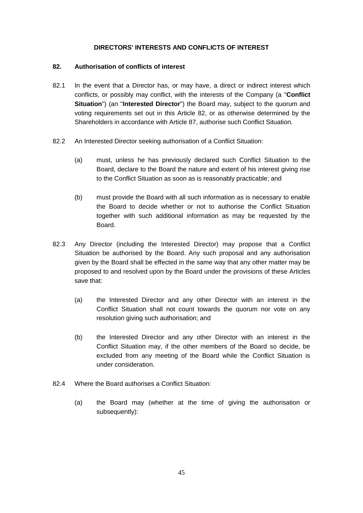## **DIRECTORS' INTERESTS AND CONFLICTS OF INTEREST**

## <span id="page-51-0"></span>**82. Authorisation of conflicts of interest**

- 82.1 In the event that a Director has, or may have, a direct or indirect interest which conflicts, or possibly may conflict, with the interests of the Company (a "**Conflict Situation**") (an "**Interested Director**") the Board may, subject to the quorum and voting requirements set out in this Article [82,](#page-51-0) or as otherwise determined by the Shareholders in accordance with Article [87,](#page-56-0) authorise such Conflict Situation.
- 82.2 An Interested Director seeking authorisation of a Conflict Situation:
	- (a) must, unless he has previously declared such Conflict Situation to the Board, declare to the Board the nature and extent of his interest giving rise to the Conflict Situation as soon as is reasonably practicable; and
	- (b) must provide the Board with all such information as is necessary to enable the Board to decide whether or not to authorise the Conflict Situation together with such additional information as may be requested by the Board.
- 82.3 Any Director (including the Interested Director) may propose that a Conflict Situation be authorised by the Board. Any such proposal and any authorisation given by the Board shall be effected in the same way that any other matter may be proposed to and resolved upon by the Board under the provisions of these Articles save that:
	- (a) the Interested Director and any other Director with an interest in the Conflict Situation shall not count towards the quorum nor vote on any resolution giving such authorisation; and
	- (b) the Interested Director and any other Director with an interest in the Conflict Situation may, if the other members of the Board so decide, be excluded from any meeting of the Board while the Conflict Situation is under consideration.
- 82.4 Where the Board authorises a Conflict Situation:
	- (a) the Board may (whether at the time of giving the authorisation or subsequently):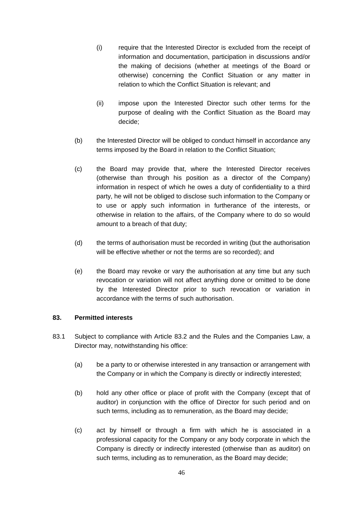- (i) require that the Interested Director is excluded from the receipt of information and documentation, participation in discussions and/or the making of decisions (whether at meetings of the Board or otherwise) concerning the Conflict Situation or any matter in relation to which the Conflict Situation is relevant; and
- (ii) impose upon the Interested Director such other terms for the purpose of dealing with the Conflict Situation as the Board may decide;
- (b) the Interested Director will be obliged to conduct himself in accordance any terms imposed by the Board in relation to the Conflict Situation;
- (c) the Board may provide that, where the Interested Director receives (otherwise than through his position as a director of the Company) information in respect of which he owes a duty of confidentiality to a third party, he will not be obliged to disclose such information to the Company or to use or apply such information in furtherance of the interests, or otherwise in relation to the affairs, of the Company where to do so would amount to a breach of that duty;
- (d) the terms of authorisation must be recorded in writing (but the authorisation will be effective whether or not the terms are so recorded); and
- (e) the Board may revoke or vary the authorisation at any time but any such revocation or variation will not affect anything done or omitted to be done by the Interested Director prior to such revocation or variation in accordance with the terms of such authorisation.

## <span id="page-52-1"></span>**83. Permitted interests**

- <span id="page-52-0"></span>83.1 Subject to compliance with Article [83.2](#page-53-0) and the Rules and the Companies Law, a Director may, notwithstanding his office:
	- (a) be a party to or otherwise interested in any transaction or arrangement with the Company or in which the Company is directly or indirectly interested;
	- (b) hold any other office or place of profit with the Company (except that of auditor) in conjunction with the office of Director for such period and on such terms, including as to remuneration, as the Board may decide;
	- (c) act by himself or through a firm with which he is associated in a professional capacity for the Company or any body corporate in which the Company is directly or indirectly interested (otherwise than as auditor) on such terms, including as to remuneration, as the Board may decide;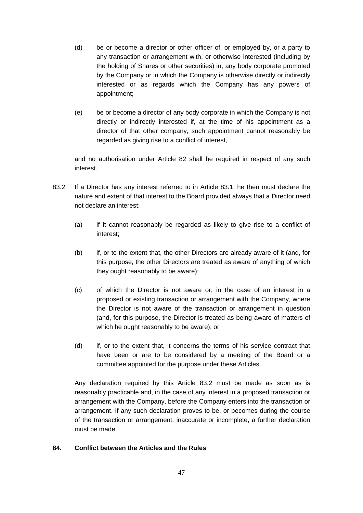- (d) be or become a director or other officer of, or employed by, or a party to any transaction or arrangement with, or otherwise interested (including by the holding of Shares or other securities) in, any body corporate promoted by the Company or in which the Company is otherwise directly or indirectly interested or as regards which the Company has any powers of appointment;
- (e) be or become a director of any body corporate in which the Company is not directly or indirectly interested if, at the time of his appointment as a director of that other company, such appointment cannot reasonably be regarded as giving rise to a conflict of interest,

and no authorisation under Article [82](#page-51-0) shall be required in respect of any such interest.

- <span id="page-53-0"></span>83.2 If a Director has any interest referred to in Article [83.1,](#page-52-0) he then must declare the nature and extent of that interest to the Board provided always that a Director need not declare an interest:
	- (a) if it cannot reasonably be regarded as likely to give rise to a conflict of interest;
	- (b) if, or to the extent that, the other Directors are already aware of it (and, for this purpose, the other Directors are treated as aware of anything of which they ought reasonably to be aware);
	- (c) of which the Director is not aware or, in the case of an interest in a proposed or existing transaction or arrangement with the Company, where the Director is not aware of the transaction or arrangement in question (and, for this purpose, the Director is treated as being aware of matters of which he ought reasonably to be aware); or
	- (d) if, or to the extent that, it concerns the terms of his service contract that have been or are to be considered by a meeting of the Board or a committee appointed for the purpose under these Articles.

Any declaration required by this Article [83.2](#page-53-0) must be made as soon as is reasonably practicable and, in the case of any interest in a proposed transaction or arrangement with the Company, before the Company enters into the transaction or arrangement. If any such declaration proves to be, or becomes during the course of the transaction or arrangement, inaccurate or incomplete, a further declaration must be made.

# **84. Conflict between the Articles and the Rules**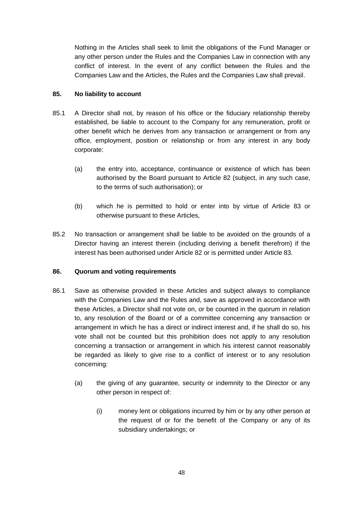Nothing in the Articles shall seek to limit the obligations of the Fund Manager or any other person under the Rules and the Companies Law in connection with any conflict of interest. In the event of any conflict between the Rules and the Companies Law and the Articles, the Rules and the Companies Law shall prevail.

# <span id="page-54-0"></span>**85. No liability to account**

- 85.1 A Director shall not, by reason of his office or the fiduciary relationship thereby established, be liable to account to the Company for any remuneration, profit or other benefit which he derives from any transaction or arrangement or from any office, employment, position or relationship or from any interest in any body corporate:
	- (a) the entry into, acceptance, continuance or existence of which has been authorised by the Board pursuant to Article [82](#page-51-0) (subject, in any such case, to the terms of such authorisation); or
	- (b) which he is permitted to hold or enter into by virtue of Article [83](#page-52-1) or otherwise pursuant to these Articles,
- 85.2 No transaction or arrangement shall be liable to be avoided on the grounds of a Director having an interest therein (including deriving a benefit therefrom) if the interest has been authorised under Article [82](#page-51-0) or is permitted under Article [83.](#page-52-1)

# <span id="page-54-1"></span>**86. Quorum and voting requirements**

- 86.1 Save as otherwise provided in these Articles and subject always to compliance with the Companies Law and the Rules and, save as approved in accordance with these Articles, a Director shall not vote on, or be counted in the quorum in relation to, any resolution of the Board or of a committee concerning any transaction or arrangement in which he has a direct or indirect interest and, if he shall do so, his vote shall not be counted but this prohibition does not apply to any resolution concerning a transaction or arrangement in which his interest cannot reasonably be regarded as likely to give rise to a conflict of interest or to any resolution concerning:
	- (a) the giving of any guarantee, security or indemnity to the Director or any other person in respect of:
		- (i) money lent or obligations incurred by him or by any other person at the request of or for the benefit of the Company or any of its subsidiary undertakings; or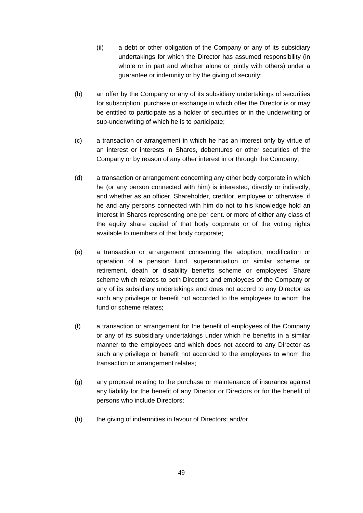- (ii) a debt or other obligation of the Company or any of its subsidiary undertakings for which the Director has assumed responsibility (in whole or in part and whether alone or jointly with others) under a guarantee or indemnity or by the giving of security;
- (b) an offer by the Company or any of its subsidiary undertakings of securities for subscription, purchase or exchange in which offer the Director is or may be entitled to participate as a holder of securities or in the underwriting or sub-underwriting of which he is to participate;
- (c) a transaction or arrangement in which he has an interest only by virtue of an interest or interests in Shares, debentures or other securities of the Company or by reason of any other interest in or through the Company;
- (d) a transaction or arrangement concerning any other body corporate in which he (or any person connected with him) is interested, directly or indirectly, and whether as an officer, Shareholder, creditor, employee or otherwise, if he and any persons connected with him do not to his knowledge hold an interest in Shares representing one per cent. or more of either any class of the equity share capital of that body corporate or of the voting rights available to members of that body corporate;
- (e) a transaction or arrangement concerning the adoption, modification or operation of a pension fund, superannuation or similar scheme or retirement, death or disability benefits scheme or employees' Share scheme which relates to both Directors and employees of the Company or any of its subsidiary undertakings and does not accord to any Director as such any privilege or benefit not accorded to the employees to whom the fund or scheme relates;
- (f) a transaction or arrangement for the benefit of employees of the Company or any of its subsidiary undertakings under which he benefits in a similar manner to the employees and which does not accord to any Director as such any privilege or benefit not accorded to the employees to whom the transaction or arrangement relates;
- (g) any proposal relating to the purchase or maintenance of insurance against any liability for the benefit of any Director or Directors or for the benefit of persons who include Directors;
- (h) the giving of indemnities in favour of Directors; and/or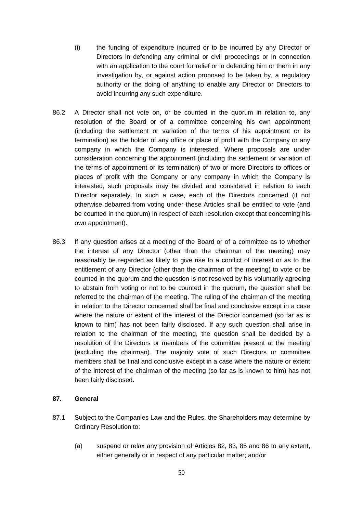- (i) the funding of expenditure incurred or to be incurred by any Director or Directors in defending any criminal or civil proceedings or in connection with an application to the court for relief or in defending him or them in any investigation by, or against action proposed to be taken by, a regulatory authority or the doing of anything to enable any Director or Directors to avoid incurring any such expenditure.
- 86.2 A Director shall not vote on, or be counted in the quorum in relation to, any resolution of the Board or of a committee concerning his own appointment (including the settlement or variation of the terms of his appointment or its termination) as the holder of any office or place of profit with the Company or any company in which the Company is interested. Where proposals are under consideration concerning the appointment (including the settlement or variation of the terms of appointment or its termination) of two or more Directors to offices or places of profit with the Company or any company in which the Company is interested, such proposals may be divided and considered in relation to each Director separately. In such a case, each of the Directors concerned (if not otherwise debarred from voting under these Articles shall be entitled to vote (and be counted in the quorum) in respect of each resolution except that concerning his own appointment).
- 86.3 If any question arises at a meeting of the Board or of a committee as to whether the interest of any Director (other than the chairman of the meeting) may reasonably be regarded as likely to give rise to a conflict of interest or as to the entitlement of any Director (other than the chairman of the meeting) to vote or be counted in the quorum and the question is not resolved by his voluntarily agreeing to abstain from voting or not to be counted in the quorum, the question shall be referred to the chairman of the meeting. The ruling of the chairman of the meeting in relation to the Director concerned shall be final and conclusive except in a case where the nature or extent of the interest of the Director concerned (so far as is known to him) has not been fairly disclosed. If any such question shall arise in relation to the chairman of the meeting, the question shall be decided by a resolution of the Directors or members of the committee present at the meeting (excluding the chairman). The majority vote of such Directors or committee members shall be final and conclusive except in a case where the nature or extent of the interest of the chairman of the meeting (so far as is known to him) has not been fairly disclosed.

### <span id="page-56-0"></span>**87. General**

- 87.1 Subject to the Companies Law and the Rules, the Shareholders may determine by Ordinary Resolution to:
	- (a) suspend or relax any provision of Articles [82,](#page-51-0) [83,](#page-52-1) [85](#page-54-0) and [86](#page-54-1) to any extent, either generally or in respect of any particular matter; and/or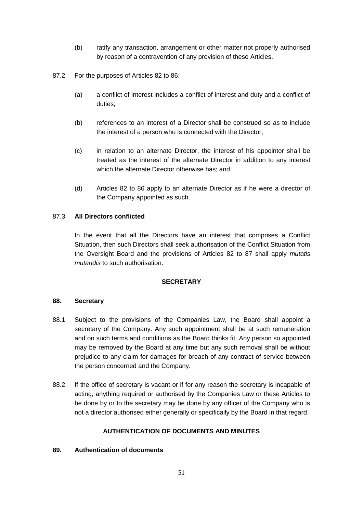- (b) ratify any transaction, arrangement or other matter not properly authorised by reason of a contravention of any provision of these Articles.
- 87.2 For the purposes of Articles [82](#page-51-0) to [86:](#page-54-1)
	- (a) a conflict of interest includes a conflict of interest and duty and a conflict of duties;
	- (b) references to an interest of a Director shall be construed so as to include the interest of a person who is connected with the Director;
	- (c) in relation to an alternate Director, the interest of his appointor shall be treated as the interest of the alternate Director in addition to any interest which the alternate Director otherwise has; and
	- (d) Articles [82](#page-51-0) to [86](#page-54-1) apply to an alternate Director as if he were a director of the Company appointed as such.

# 87.3 **All Directors conflicted**

In the event that all the Directors have an interest that comprises a Conflict Situation, then such Directors shall seek authorisation of the Conflict Situation from the Oversight Board and the provisions of Articles [82](#page-51-0) to [87](#page-56-0) shall apply *mutatis mutandis* to such authorisation.

### **SECRETARY**

### **88. Secretary**

- 88.1 Subject to the provisions of the Companies Law, the Board shall appoint a secretary of the Company. Any such appointment shall be at such remuneration and on such terms and conditions as the Board thinks fit. Any person so appointed may be removed by the Board at any time but any such removal shall be without prejudice to any claim for damages for breach of any contract of service between the person concerned and the Company.
- 88.2 If the office of secretary is vacant or if for any reason the secretary is incapable of acting, anything required or authorised by the Companies Law or these Articles to be done by or to the secretary may be done by any officer of the Company who is not a director authorised either generally or specifically by the Board in that regard.

### **AUTHENTICATION OF DOCUMENTS AND MINUTES**

### **89. Authentication of documents**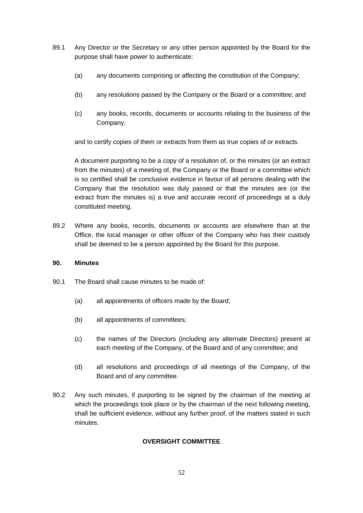- 89.1 Any Director or the Secretary or any other person appointed by the Board for the purpose shall have power to authenticate:
	- (a) any documents comprising or affecting the constitution of the Company;
	- (b) any resolutions passed by the Company or the Board or a committee; and
	- (c) any books, records, documents or accounts relating to the business of the Company,

and to certify copies of them or extracts from them as true copies of or extracts.

A document purporting to be a copy of a resolution of, or the minutes (or an extract from the minutes) of a meeting of, the Company or the Board or a committee which is so certified shall be conclusive evidence in favour of all persons dealing with the Company that the resolution was duly passed or that the minutes are (or the extract from the minutes is) a true and accurate record of proceedings at a duly constituted meeting.

89.2 Where any books, records, documents or accounts are elsewhere than at the Office, the local manager or other officer of the Company who has their custody shall be deemed to be a person appointed by the Board for this purpose.

### **90. Minutes**

- 90.1 The Board shall cause minutes to be made of:
	- (a) all appointments of officers made by the Board;
	- (b) all appointments of committees;
	- (c) the names of the Directors (including any alternate Directors) present at each meeting of the Company, of the Board and of any committee; and
	- (d) all resolutions and proceedings of all meetings of the Company, of the Board and of any committee.
- 90.2 Any such minutes, if purporting to be signed by the chairman of the meeting at which the proceedings took place or by the chairman of the next following meeting, shall be sufficient evidence, without any further proof, of the matters stated in such minutes.

### **OVERSIGHT COMMITTEE**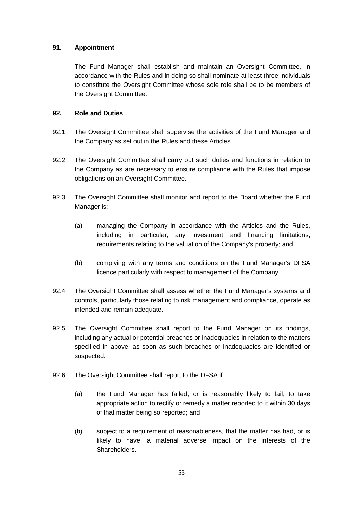# **91. Appointment**

The Fund Manager shall establish and maintain an Oversight Committee, in accordance with the Rules and in doing so shall nominate at least three individuals to constitute the Oversight Committee whose sole role shall be to be members of the Oversight Committee.

## **92. Role and Duties**

- 92.1 The Oversight Committee shall supervise the activities of the Fund Manager and the Company as set out in the Rules and these Articles.
- 92.2 The Oversight Committee shall carry out such duties and functions in relation to the Company as are necessary to ensure compliance with the Rules that impose obligations on an Oversight Committee.
- 92.3 The Oversight Committee shall monitor and report to the Board whether the Fund Manager is:
	- (a) managing the Company in accordance with the Articles and the Rules, including in particular, any investment and financing limitations, requirements relating to the valuation of the Company's property; and
	- (b) complying with any terms and conditions on the Fund Manager's DFSA licence particularly with respect to management of the Company.
- 92.4 The Oversight Committee shall assess whether the Fund Manager's systems and controls, particularly those relating to risk management and compliance, operate as intended and remain adequate.
- 92.5 The Oversight Committee shall report to the Fund Manager on its findings, including any actual or potential breaches or inadequacies in relation to the matters specified in above, as soon as such breaches or inadequacies are identified or suspected.
- 92.6 The Oversight Committee shall report to the DFSA if:
	- (a) the Fund Manager has failed, or is reasonably likely to fail, to take appropriate action to rectify or remedy a matter reported to it within 30 days of that matter being so reported; and
	- (b) subject to a requirement of reasonableness, that the matter has had, or is likely to have, a material adverse impact on the interests of the Shareholders.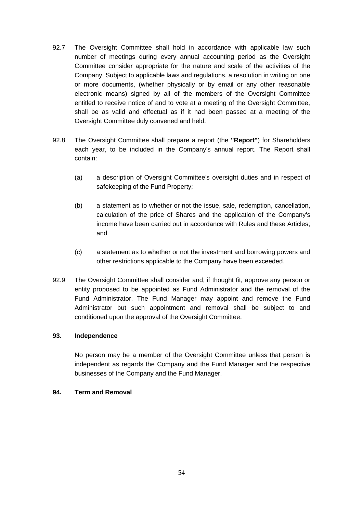- 92.7 The Oversight Committee shall hold in accordance with applicable law such number of meetings during every annual accounting period as the Oversight Committee consider appropriate for the nature and scale of the activities of the Company. Subject to applicable laws and regulations, a resolution in writing on one or more documents, (whether physically or by email or any other reasonable electronic means) signed by all of the members of the Oversight Committee entitled to receive notice of and to vote at a meeting of the Oversight Committee, shall be as valid and effectual as if it had been passed at a meeting of the Oversight Committee duly convened and held.
- 92.8 The Oversight Committee shall prepare a report (the **"Report"**) for Shareholders each year, to be included in the Company's annual report. The Report shall contain:
	- (a) a description of Oversight Committee's oversight duties and in respect of safekeeping of the Fund Property;
	- (b) a statement as to whether or not the issue, sale, redemption, cancellation, calculation of the price of Shares and the application of the Company's income have been carried out in accordance with Rules and these Articles; and
	- (c) a statement as to whether or not the investment and borrowing powers and other restrictions applicable to the Company have been exceeded.
- 92.9 The Oversight Committee shall consider and, if thought fit, approve any person or entity proposed to be appointed as Fund Administrator and the removal of the Fund Administrator. The Fund Manager may appoint and remove the Fund Administrator but such appointment and removal shall be subject to and conditioned upon the approval of the Oversight Committee.

### **93. Independence**

No person may be a member of the Oversight Committee unless that person is independent as regards the Company and the Fund Manager and the respective businesses of the Company and the Fund Manager.

### **94. Term and Removal**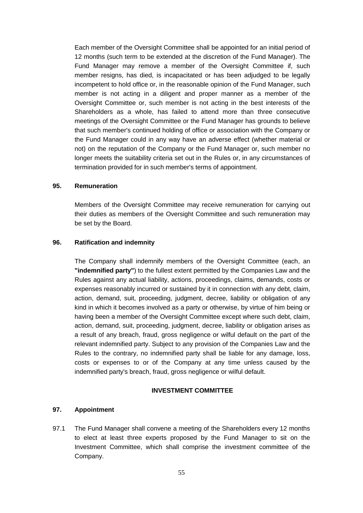Each member of the Oversight Committee shall be appointed for an initial period of 12 months (such term to be extended at the discretion of the Fund Manager). The Fund Manager may remove a member of the Oversight Committee if, such member resigns, has died, is incapacitated or has been adjudged to be legally incompetent to hold office or, in the reasonable opinion of the Fund Manager, such member is not acting in a diligent and proper manner as a member of the Oversight Committee or, such member is not acting in the best interests of the Shareholders as a whole, has failed to attend more than three consecutive meetings of the Oversight Committee or the Fund Manager has grounds to believe that such member's continued holding of office or association with the Company or the Fund Manager could in any way have an adverse effect (whether material or not) on the reputation of the Company or the Fund Manager or, such member no longer meets the suitability criteria set out in the Rules or, in any circumstances of termination provided for in such member's terms of appointment.

### **95. Remuneration**

Members of the Oversight Committee may receive remuneration for carrying out their duties as members of the Oversight Committee and such remuneration may be set by the Board.

#### **96. Ratification and indemnity**

The Company shall indemnify members of the Oversight Committee (each, an **"indemnified party"**) to the fullest extent permitted by the Companies Law and the Rules against any actual liability, actions, proceedings, claims, demands, costs or expenses reasonably incurred or sustained by it in connection with any debt, claim, action, demand, suit, proceeding, judgment, decree, liability or obligation of any kind in which it becomes involved as a party or otherwise, by virtue of him being or having been a member of the Oversight Committee except where such debt, claim, action, demand, suit, proceeding, judgment, decree, liability or obligation arises as a result of any breach, fraud, gross negligence or wilful default on the part of the relevant indemnified party. Subject to any provision of the Companies Law and the Rules to the contrary, no indemnified party shall be liable for any damage, loss, costs or expenses to or of the Company at any time unless caused by the indemnified party's breach, fraud, gross negligence or wilful default.

#### **INVESTMENT COMMITTEE**

### **97. Appointment**

97.1 The Fund Manager shall convene a meeting of the Shareholders every 12 months to elect at least three experts proposed by the Fund Manager to sit on the Investment Committee, which shall comprise the investment committee of the Company.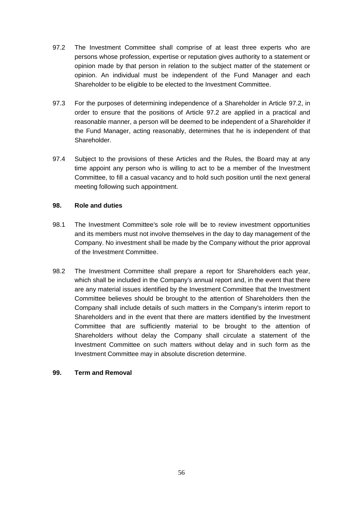- <span id="page-62-0"></span>97.2 The Investment Committee shall comprise of at least three experts who are persons whose profession, expertise or reputation gives authority to a statement or opinion made by that person in relation to the subject matter of the statement or opinion. An individual must be independent of the Fund Manager and each Shareholder to be eligible to be elected to the Investment Committee.
- 97.3 For the purposes of determining independence of a Shareholder in Article [97.2,](#page-62-0) in order to ensure that the positions of Article [97.2](#page-62-0) are applied in a practical and reasonable manner, a person will be deemed to be independent of a Shareholder if the Fund Manager, acting reasonably, determines that he is independent of that Shareholder.
- 97.4 Subject to the provisions of these Articles and the Rules, the Board may at any time appoint any person who is willing to act to be a member of the Investment Committee, to fill a casual vacancy and to hold such position until the next general meeting following such appointment.

# **98. Role and duties**

- 98.1 The Investment Committee's sole role will be to review investment opportunities and its members must not involve themselves in the day to day management of the Company. No investment shall be made by the Company without the prior approval of the Investment Committee.
- 98.2 The Investment Committee shall prepare a report for Shareholders each year, which shall be included in the Company's annual report and, in the event that there are any material issues identified by the Investment Committee that the Investment Committee believes should be brought to the attention of Shareholders then the Company shall include details of such matters in the Company's interim report to Shareholders and in the event that there are matters identified by the Investment Committee that are sufficiently material to be brought to the attention of Shareholders without delay the Company shall circulate a statement of the Investment Committee on such matters without delay and in such form as the Investment Committee may in absolute discretion determine.

### **99. Term and Removal**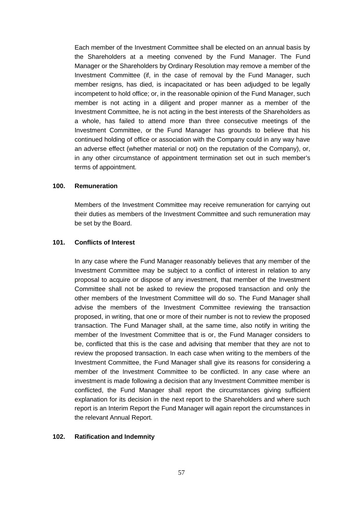Each member of the Investment Committee shall be elected on an annual basis by the Shareholders at a meeting convened by the Fund Manager. The Fund Manager or the Shareholders by Ordinary Resolution may remove a member of the Investment Committee (if, in the case of removal by the Fund Manager, such member resigns, has died, is incapacitated or has been adjudged to be legally incompetent to hold office; or, in the reasonable opinion of the Fund Manager, such member is not acting in a diligent and proper manner as a member of the Investment Committee, he is not acting in the best interests of the Shareholders as a whole, has failed to attend more than three consecutive meetings of the Investment Committee, or the Fund Manager has grounds to believe that his continued holding of office or association with the Company could in any way have an adverse effect (whether material or not) on the reputation of the Company), or, in any other circumstance of appointment termination set out in such member's terms of appointment.

### **100. Remuneration**

Members of the Investment Committee may receive remuneration for carrying out their duties as members of the Investment Committee and such remuneration may be set by the Board.

#### **101. Conflicts of Interest**

In any case where the Fund Manager reasonably believes that any member of the Investment Committee may be subject to a conflict of interest in relation to any proposal to acquire or dispose of any investment, that member of the Investment Committee shall not be asked to review the proposed transaction and only the other members of the Investment Committee will do so. The Fund Manager shall advise the members of the Investment Committee reviewing the transaction proposed, in writing, that one or more of their number is not to review the proposed transaction. The Fund Manager shall, at the same time, also notify in writing the member of the Investment Committee that is or, the Fund Manager considers to be, conflicted that this is the case and advising that member that they are not to review the proposed transaction. In each case when writing to the members of the Investment Committee, the Fund Manager shall give its reasons for considering a member of the Investment Committee to be conflicted. In any case where an investment is made following a decision that any Investment Committee member is conflicted, the Fund Manager shall report the circumstances giving sufficient explanation for its decision in the next report to the Shareholders and where such report is an Interim Report the Fund Manager will again report the circumstances in the relevant Annual Report.

### **102. Ratification and Indemnity**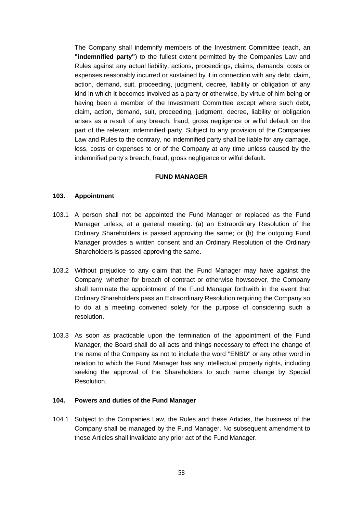The Company shall indemnify members of the Investment Committee (each, an **"indemnified party"**) to the fullest extent permitted by the Companies Law and Rules against any actual liability, actions, proceedings, claims, demands, costs or expenses reasonably incurred or sustained by it in connection with any debt, claim, action, demand, suit, proceeding, judgment, decree, liability or obligation of any kind in which it becomes involved as a party or otherwise, by virtue of him being or having been a member of the Investment Committee except where such debt, claim, action, demand, suit, proceeding, judgment, decree, liability or obligation arises as a result of any breach, fraud, gross negligence or wilful default on the part of the relevant indemnified party. Subject to any provision of the Companies Law and Rules to the contrary, no indemnified party shall be liable for any damage, loss, costs or expenses to or of the Company at any time unless caused by the indemnified party's breach, fraud, gross negligence or wilful default.

#### **FUND MANAGER**

#### **103. Appointment**

- <span id="page-64-0"></span>103.1 A person shall not be appointed the Fund Manager or replaced as the Fund Manager unless, at a general meeting: (a) an Extraordinary Resolution of the Ordinary Shareholders is passed approving the same; or (b) the outgoing Fund Manager provides a written consent and an Ordinary Resolution of the Ordinary Shareholders is passed approving the same.
- 103.2 Without prejudice to any claim that the Fund Manager may have against the Company, whether for breach of contract or otherwise howsoever, the Company shall terminate the appointment of the Fund Manager forthwith in the event that Ordinary Shareholders pass an Extraordinary Resolution requiring the Company so to do at a meeting convened solely for the purpose of considering such a resolution.
- 103.3 As soon as practicable upon the termination of the appointment of the Fund Manager, the Board shall do all acts and things necessary to effect the change of the name of the Company as not to include the word "ENBD" or any other word in relation to which the Fund Manager has any intellectual property rights, including seeking the approval of the Shareholders to such name change by Special Resolution.

### **104. Powers and duties of the Fund Manager**

104.1 Subject to the Companies Law, the Rules and these Articles, the business of the Company shall be managed by the Fund Manager. No subsequent amendment to these Articles shall invalidate any prior act of the Fund Manager.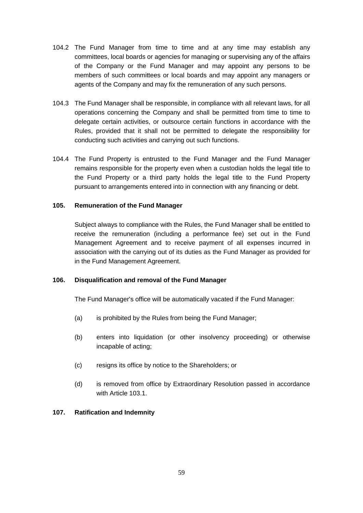- 104.2 The Fund Manager from time to time and at any time may establish any committees, local boards or agencies for managing or supervising any of the affairs of the Company or the Fund Manager and may appoint any persons to be members of such committees or local boards and may appoint any managers or agents of the Company and may fix the remuneration of any such persons.
- 104.3 The Fund Manager shall be responsible, in compliance with all relevant laws, for all operations concerning the Company and shall be permitted from time to time to delegate certain activities, or outsource certain functions in accordance with the Rules, provided that it shall not be permitted to delegate the responsibility for conducting such activities and carrying out such functions.
- 104.4 The Fund Property is entrusted to the Fund Manager and the Fund Manager remains responsible for the property even when a custodian holds the legal title to the Fund Property or a third party holds the legal title to the Fund Property pursuant to arrangements entered into in connection with any financing or debt.

## **105. Remuneration of the Fund Manager**

Subject always to compliance with the Rules, the Fund Manager shall be entitled to receive the remuneration (including a performance fee) set out in the Fund Management Agreement and to receive payment of all expenses incurred in association with the carrying out of its duties as the Fund Manager as provided for in the Fund Management Agreement.

# **106. Disqualification and removal of the Fund Manager**

The Fund Manager's office will be automatically vacated if the Fund Manager:

- (a) is prohibited by the Rules from being the Fund Manager;
- (b) enters into liquidation (or other insolvency proceeding) or otherwise incapable of acting;
- (c) resigns its office by notice to the Shareholders; or
- (d) is removed from office by Extraordinary Resolution passed in accordance with Article [103.1.](#page-64-0)

# **107. Ratification and Indemnity**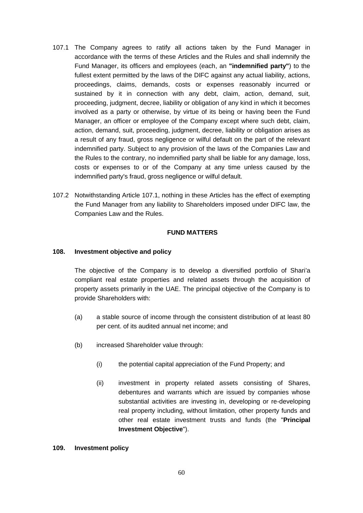- <span id="page-66-0"></span>107.1 The Company agrees to ratify all actions taken by the Fund Manager in accordance with the terms of these Articles and the Rules and shall indemnify the Fund Manager, its officers and employees (each, an **"indemnified party"**) to the fullest extent permitted by the laws of the DIFC against any actual liability, actions, proceedings, claims, demands, costs or expenses reasonably incurred or sustained by it in connection with any debt, claim, action, demand, suit, proceeding, judgment, decree, liability or obligation of any kind in which it becomes involved as a party or otherwise, by virtue of its being or having been the Fund Manager, an officer or employee of the Company except where such debt, claim, action, demand, suit, proceeding, judgment, decree, liability or obligation arises as a result of any fraud, gross negligence or wilful default on the part of the relevant indemnified party. Subject to any provision of the laws of the Companies Law and the Rules to the contrary, no indemnified party shall be liable for any damage, loss, costs or expenses to or of the Company at any time unless caused by the indemnified party's fraud, gross negligence or wilful default.
- 107.2 Notwithstanding Article [107.1,](#page-66-0) nothing in these Articles has the effect of exempting the Fund Manager from any liability to Shareholders imposed under DIFC law, the Companies Law and the Rules.

## **FUND MATTERS**

### **108. Investment objective and policy**

The objective of the Company is to develop a diversified portfolio of Shari'a compliant real estate properties and related assets through the acquisition of property assets primarily in the UAE. The principal objective of the Company is to provide Shareholders with:

- (a) a stable source of income through the consistent distribution of at least 80 per cent. of its audited annual net income; and
- (b) increased Shareholder value through:
	- (i) the potential capital appreciation of the Fund Property; and
	- (ii) investment in property related assets consisting of Shares, debentures and warrants which are issued by companies whose substantial activities are investing in, developing or re-developing real property including, without limitation, other property funds and other real estate investment trusts and funds (the "**Principal Investment Objective**").

#### **109. Investment policy**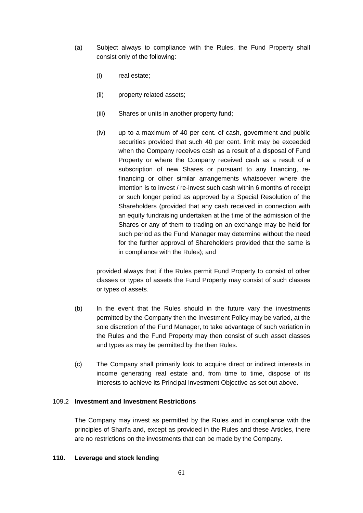- (a) Subject always to compliance with the Rules, the Fund Property shall consist only of the following:
	- (i) real estate;
	- (ii) property related assets;
	- (iii) Shares or units in another property fund;
	- (iv) up to a maximum of 40 per cent. of cash, government and public securities provided that such 40 per cent. limit may be exceeded when the Company receives cash as a result of a disposal of Fund Property or where the Company received cash as a result of a subscription of new Shares or pursuant to any financing, refinancing or other similar arrangements whatsoever where the intention is to invest / re-invest such cash within 6 months of receipt or such longer period as approved by a Special Resolution of the Shareholders (provided that any cash received in connection with an equity fundraising undertaken at the time of the admission of the Shares or any of them to trading on an exchange may be held for such period as the Fund Manager may determine without the need for the further approval of Shareholders provided that the same is in compliance with the Rules); and

provided always that if the Rules permit Fund Property to consist of other classes or types of assets the Fund Property may consist of such classes or types of assets.

- (b) In the event that the Rules should in the future vary the investments permitted by the Company then the Investment Policy may be varied, at the sole discretion of the Fund Manager, to take advantage of such variation in the Rules and the Fund Property may then consist of such asset classes and types as may be permitted by the then Rules.
- (c) The Company shall primarily look to acquire direct or indirect interests in income generating real estate and, from time to time, dispose of its interests to achieve its Principal Investment Objective as set out above.

#### 109.2 **Investment and Investment Restrictions**

The Company may invest as permitted by the Rules and in compliance with the principles of Shari'a and, except as provided in the Rules and these Articles, there are no restrictions on the investments that can be made by the Company.

### **110. Leverage and stock lending**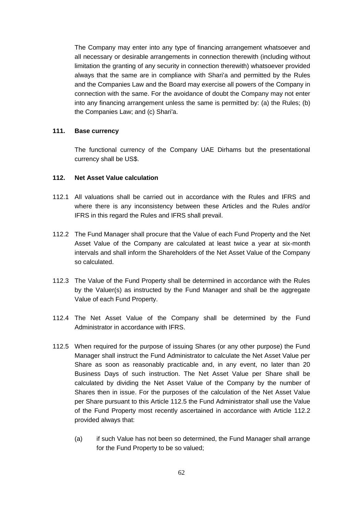The Company may enter into any type of financing arrangement whatsoever and all necessary or desirable arrangements in connection therewith (including without limitation the granting of any security in connection therewith) whatsoever provided always that the same are in compliance with Shari'a and permitted by the Rules and the Companies Law and the Board may exercise all powers of the Company in connection with the same. For the avoidance of doubt the Company may not enter into any financing arrangement unless the same is permitted by: (a) the Rules; (b) the Companies Law; and (c) Shari'a.

## **111. Base currency**

The functional currency of the Company UAE Dirhams but the presentational currency shall be US\$.

## <span id="page-68-2"></span>**112. Net Asset Value calculation**

- 112.1 All valuations shall be carried out in accordance with the Rules and IFRS and where there is any inconsistency between these Articles and the Rules and/or IFRS in this regard the Rules and IFRS shall prevail.
- <span id="page-68-1"></span>112.2 The Fund Manager shall procure that the Value of each Fund Property and the Net Asset Value of the Company are calculated at least twice a year at six-month intervals and shall inform the Shareholders of the Net Asset Value of the Company so calculated.
- 112.3 The Value of the Fund Property shall be determined in accordance with the Rules by the Valuer(s) as instructed by the Fund Manager and shall be the aggregate Value of each Fund Property.
- 112.4 The Net Asset Value of the Company shall be determined by the Fund Administrator in accordance with IFRS.
- <span id="page-68-0"></span>112.5 When required for the purpose of issuing Shares (or any other purpose) the Fund Manager shall instruct the Fund Administrator to calculate the Net Asset Value per Share as soon as reasonably practicable and, in any event, no later than 20 Business Days of such instruction. The Net Asset Value per Share shall be calculated by dividing the Net Asset Value of the Company by the number of Shares then in issue. For the purposes of the calculation of the Net Asset Value per Share pursuant to this Article [112.5](#page-68-0) the Fund Administrator shall use the Value of the Fund Property most recently ascertained in accordance with Article [112.2](#page-68-1) provided always that:
	- (a) if such Value has not been so determined, the Fund Manager shall arrange for the Fund Property to be so valued;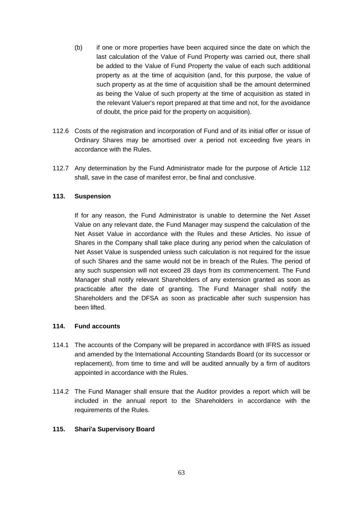- (b) if one or more properties have been acquired since the date on which the last calculation of the Value of Fund Property was carried out, there shall be added to the Value of Fund Property the value of each such additional property as at the time of acquisition (and, for this purpose, the value of such property as at the time of acquisition shall be the amount determined as being the Value of such property at the time of acquisition as stated in the relevant Valuer's report prepared at that time and not, for the avoidance of doubt, the price paid for the property on acquisition).
- 112.6 Costs of the registration and incorporation of Fund and of its initial offer or issue of Ordinary Shares may be amortised over a period not exceeding five years in accordance with the Rules.
- 112.7 Any determination by the Fund Administrator made for the purpose of Article [112](#page-68-2) shall, save in the case of manifest error, be final and conclusive.

# **113. Suspension**

If for any reason, the Fund Administrator is unable to determine the Net Asset Value on any relevant date, the Fund Manager may suspend the calculation of the Net Asset Value in accordance with the Rules and these Articles. No issue of Shares in the Company shall take place during any period when the calculation of Net Asset Value is suspended unless such calculation is not required for the issue of such Shares and the same would not be in breach of the Rules. The period of any such suspension will not exceed 28 days from its commencement. The Fund Manager shall notify relevant Shareholders of any extension granted as soon as practicable after the date of granting. The Fund Manager shall notify the Shareholders and the DFSA as soon as practicable after such suspension has been lifted.

### **114. Fund accounts**

- 114.1 The accounts of the Company will be prepared in accordance with IFRS as issued and amended by the International Accounting Standards Board (or its successor or replacement), from time to time and will be audited annually by a firm of auditors appointed in accordance with the Rules.
- 114.2 The Fund Manager shall ensure that the Auditor provides a report which will be included in the annual report to the Shareholders in accordance with the requirements of the Rules.

### **115. Shari'a Supervisory Board**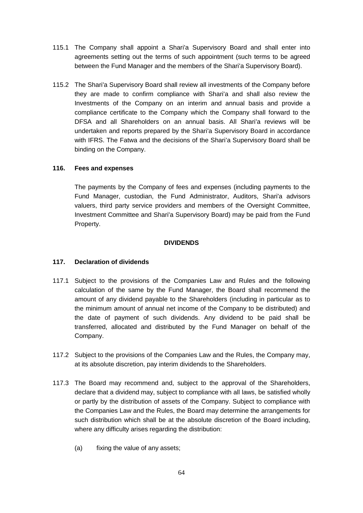- 115.1 The Company shall appoint a Shari'a Supervisory Board and shall enter into agreements setting out the terms of such appointment (such terms to be agreed between the Fund Manager and the members of the Shari'a Supervisory Board).
- 115.2 The Shari'a Supervisory Board shall review all investments of the Company before they are made to confirm compliance with Shari'a and shall also review the Investments of the Company on an interim and annual basis and provide a compliance certificate to the Company which the Company shall forward to the DFSA and all Shareholders on an annual basis. All Shari'a reviews will be undertaken and reports prepared by the Shari'a Supervisory Board in accordance with IFRS. The Fatwa and the decisions of the Shari'a Supervisory Board shall be binding on the Company.

## **116. Fees and expenses**

The payments by the Company of fees and expenses (including payments to the Fund Manager, custodian, the Fund Administrator, Auditors, Shari'a advisors valuers, third party service providers and members of the Oversight Committee, Investment Committee and Shari'a Supervisory Board) may be paid from the Fund Property.

### **DIVIDENDS**

# **117. Declaration of dividends**

- 117.1 Subject to the provisions of the Companies Law and Rules and the following calculation of the same by the Fund Manager, the Board shall recommend the amount of any dividend payable to the Shareholders (including in particular as to the minimum amount of annual net income of the Company to be distributed) and the date of payment of such dividends. Any dividend to be paid shall be transferred, allocated and distributed by the Fund Manager on behalf of the Company.
- 117.2 Subject to the provisions of the Companies Law and the Rules, the Company may, at its absolute discretion, pay interim dividends to the Shareholders.
- 117.3 The Board may recommend and, subject to the approval of the Shareholders, declare that a dividend may, subject to compliance with all laws, be satisfied wholly or partly by the distribution of assets of the Company. Subject to compliance with the Companies Law and the Rules, the Board may determine the arrangements for such distribution which shall be at the absolute discretion of the Board including, where any difficulty arises regarding the distribution:
	- (a) fixing the value of any assets;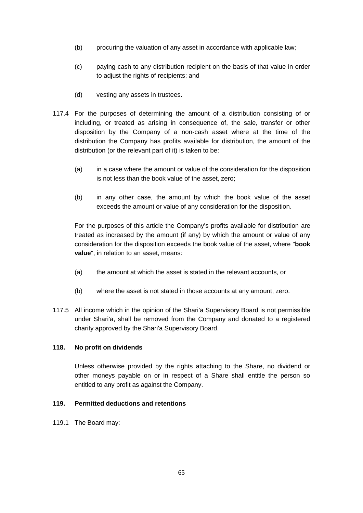- (b) procuring the valuation of any asset in accordance with applicable law;
- (c) paying cash to any distribution recipient on the basis of that value in order to adjust the rights of recipients; and
- (d) vesting any assets in trustees.
- 117.4 For the purposes of determining the amount of a distribution consisting of or including, or treated as arising in consequence of, the sale, transfer or other disposition by the Company of a non-cash asset where at the time of the distribution the Company has profits available for distribution, the amount of the distribution (or the relevant part of it) is taken to be:
	- (a) in a case where the amount or value of the consideration for the disposition is not less than the book value of the asset, zero;
	- (b) in any other case, the amount by which the book value of the asset exceeds the amount or value of any consideration for the disposition.

For the purposes of this article the Company's profits available for distribution are treated as increased by the amount (if any) by which the amount or value of any consideration for the disposition exceeds the book value of the asset, where "**book value**", in relation to an asset, means:

- (a) the amount at which the asset is stated in the relevant accounts, or
- (b) where the asset is not stated in those accounts at any amount, zero.
- 117.5 All income which in the opinion of the Shari'a Supervisory Board is not permissible under Shari'a, shall be removed from the Company and donated to a registered charity approved by the Shari'a Supervisory Board.

### **118. No profit on dividends**

Unless otherwise provided by the rights attaching to the Share, no dividend or other moneys payable on or in respect of a Share shall entitle the person so entitled to any profit as against the Company.

### **119. Permitted deductions and retentions**

119.1 The Board may: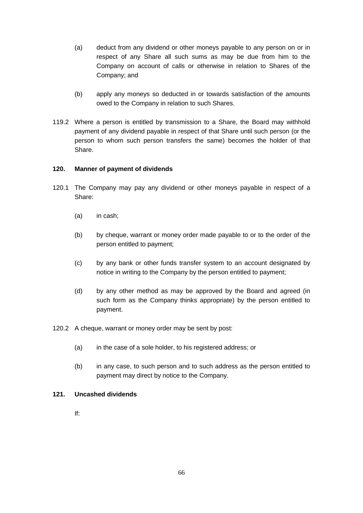- (a) deduct from any dividend or other moneys payable to any person on or in respect of any Share all such sums as may be due from him to the Company on account of calls or otherwise in relation to Shares of the Company; and
- (b) apply any moneys so deducted in or towards satisfaction of the amounts owed to the Company in relation to such Shares.
- 119.2 Where a person is entitled by transmission to a Share, the Board may withhold payment of any dividend payable in respect of that Share until such person (or the person to whom such person transfers the same) becomes the holder of that Share.

### **120. Manner of payment of dividends**

- 120.1 The Company may pay any dividend or other moneys payable in respect of a Share:
	- (a) in cash;
	- (b) by cheque, warrant or money order made payable to or to the order of the person entitled to payment;
	- (c) by any bank or other funds transfer system to an account designated by notice in writing to the Company by the person entitled to payment;
	- (d) by any other method as may be approved by the Board and agreed (in such form as the Company thinks appropriate) by the person entitled to payment.

120.2 A cheque, warrant or money order may be sent by post:

- (a) in the case of a sole holder, to his registered address; or
- (b) in any case, to such person and to such address as the person entitled to payment may direct by notice to the Company.

#### **121. Uncashed dividends**

If: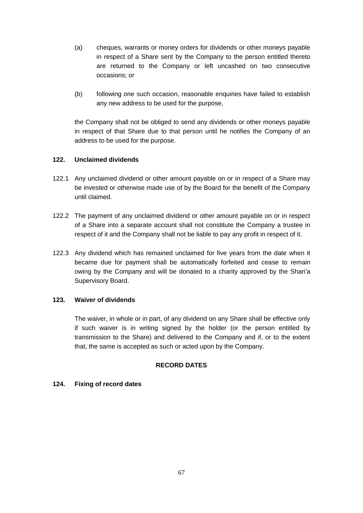- (a) cheques, warrants or money orders for dividends or other moneys payable in respect of a Share sent by the Company to the person entitled thereto are returned to the Company or left uncashed on two consecutive occasions; or
- (b) following one such occasion, reasonable enquiries have failed to establish any new address to be used for the purpose,

the Company shall not be obliged to send any dividends or other moneys payable in respect of that Share due to that person until he notifies the Company of an address to be used for the purpose.

### **122. Unclaimed dividends**

- 122.1 Any unclaimed dividend or other amount payable on or in respect of a Share may be invested or otherwise made use of by the Board for the benefit of the Company until claimed.
- 122.2 The payment of any unclaimed dividend or other amount payable on or in respect of a Share into a separate account shall not constitute the Company a trustee in respect of it and the Company shall not be liable to pay any profit in respect of it.
- 122.3 Any dividend which has remained unclaimed for five years from the date when it became due for payment shall be automatically forfeited and cease to remain owing by the Company and will be donated to a charity approved by the Shari'a Supervisory Board.

## **123. Waiver of dividends**

The waiver, in whole or in part, of any dividend on any Share shall be effective only if such waiver is in writing signed by the holder (or the person entitled by transmission to the Share) and delivered to the Company and if, or to the extent that, the same is accepted as such or acted upon by the Company.

#### **RECORD DATES**

## **124. Fixing of record dates**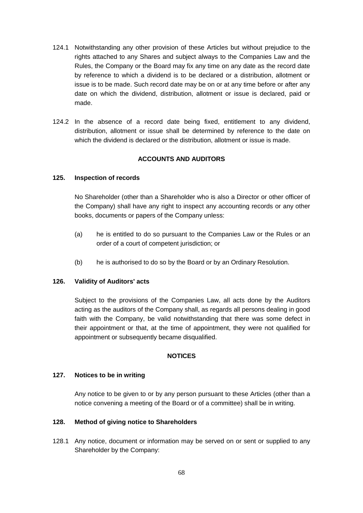- 124.1 Notwithstanding any other provision of these Articles but without prejudice to the rights attached to any Shares and subject always to the Companies Law and the Rules, the Company or the Board may fix any time on any date as the record date by reference to which a dividend is to be declared or a distribution, allotment or issue is to be made. Such record date may be on or at any time before or after any date on which the dividend, distribution, allotment or issue is declared, paid or made.
- 124.2 In the absence of a record date being fixed, entitlement to any dividend, distribution, allotment or issue shall be determined by reference to the date on which the dividend is declared or the distribution, allotment or issue is made.

## **ACCOUNTS AND AUDITORS**

### **125. Inspection of records**

No Shareholder (other than a Shareholder who is also a Director or other officer of the Company) shall have any right to inspect any accounting records or any other books, documents or papers of the Company unless:

- (a) he is entitled to do so pursuant to the Companies Law or the Rules or an order of a court of competent jurisdiction; or
- (b) he is authorised to do so by the Board or by an Ordinary Resolution.

#### **126. Validity of Auditors' acts**

Subject to the provisions of the Companies Law, all acts done by the Auditors acting as the auditors of the Company shall, as regards all persons dealing in good faith with the Company, be valid notwithstanding that there was some defect in their appointment or that, at the time of appointment, they were not qualified for appointment or subsequently became disqualified.

#### **NOTICES**

#### **127. Notices to be in writing**

Any notice to be given to or by any person pursuant to these Articles (other than a notice convening a meeting of the Board or of a committee) shall be in writing.

#### **128. Method of giving notice to Shareholders**

128.1 Any notice, document or information may be served on or sent or supplied to any Shareholder by the Company: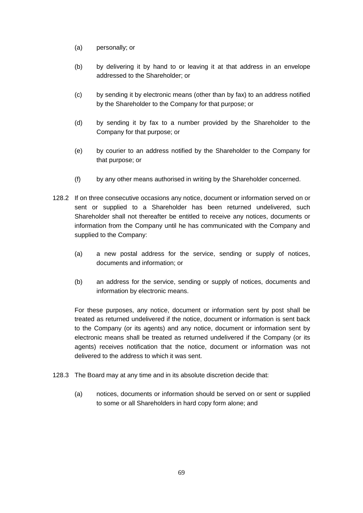- (a) personally; or
- (b) by delivering it by hand to or leaving it at that address in an envelope addressed to the Shareholder; or
- (c) by sending it by electronic means (other than by fax) to an address notified by the Shareholder to the Company for that purpose; or
- (d) by sending it by fax to a number provided by the Shareholder to the Company for that purpose; or
- (e) by courier to an address notified by the Shareholder to the Company for that purpose; or
- (f) by any other means authorised in writing by the Shareholder concerned.
- 128.2 If on three consecutive occasions any notice, document or information served on or sent or supplied to a Shareholder has been returned undelivered, such Shareholder shall not thereafter be entitled to receive any notices, documents or information from the Company until he has communicated with the Company and supplied to the Company:
	- (a) a new postal address for the service, sending or supply of notices, documents and information; or
	- (b) an address for the service, sending or supply of notices, documents and information by electronic means.

For these purposes, any notice, document or information sent by post shall be treated as returned undelivered if the notice, document or information is sent back to the Company (or its agents) and any notice, document or information sent by electronic means shall be treated as returned undelivered if the Company (or its agents) receives notification that the notice, document or information was not delivered to the address to which it was sent.

- 128.3 The Board may at any time and in its absolute discretion decide that:
	- (a) notices, documents or information should be served on or sent or supplied to some or all Shareholders in hard copy form alone; and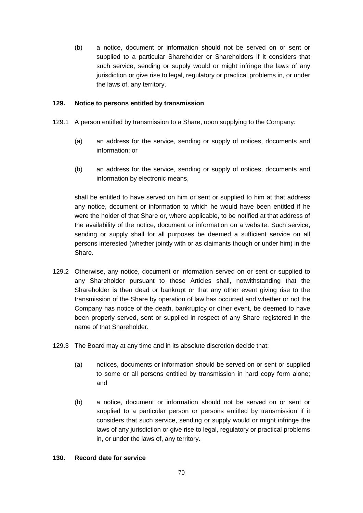(b) a notice, document or information should not be served on or sent or supplied to a particular Shareholder or Shareholders if it considers that such service, sending or supply would or might infringe the laws of any jurisdiction or give rise to legal, regulatory or practical problems in, or under the laws of, any territory.

#### **129. Notice to persons entitled by transmission**

- 129.1 A person entitled by transmission to a Share, upon supplying to the Company:
	- (a) an address for the service, sending or supply of notices, documents and information; or
	- (b) an address for the service, sending or supply of notices, documents and information by electronic means,

shall be entitled to have served on him or sent or supplied to him at that address any notice, document or information to which he would have been entitled if he were the holder of that Share or, where applicable, to be notified at that address of the availability of the notice, document or information on a website. Such service, sending or supply shall for all purposes be deemed a sufficient service on all persons interested (whether jointly with or as claimants though or under him) in the Share.

- 129.2 Otherwise, any notice, document or information served on or sent or supplied to any Shareholder pursuant to these Articles shall, notwithstanding that the Shareholder is then dead or bankrupt or that any other event giving rise to the transmission of the Share by operation of law has occurred and whether or not the Company has notice of the death, bankruptcy or other event, be deemed to have been properly served, sent or supplied in respect of any Share registered in the name of that Shareholder.
- 129.3 The Board may at any time and in its absolute discretion decide that:
	- (a) notices, documents or information should be served on or sent or supplied to some or all persons entitled by transmission in hard copy form alone; and
	- (b) a notice, document or information should not be served on or sent or supplied to a particular person or persons entitled by transmission if it considers that such service, sending or supply would or might infringe the laws of any jurisdiction or give rise to legal, regulatory or practical problems in, or under the laws of, any territory.

#### **130. Record date for service**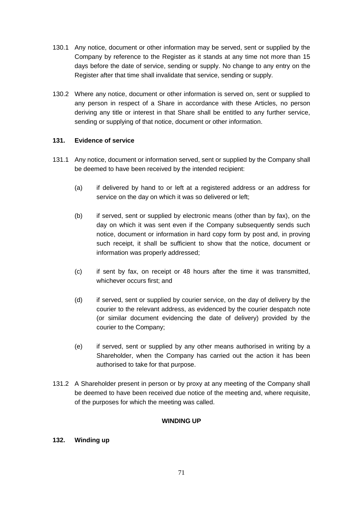- 130.1 Any notice, document or other information may be served, sent or supplied by the Company by reference to the Register as it stands at any time not more than 15 days before the date of service, sending or supply. No change to any entry on the Register after that time shall invalidate that service, sending or supply.
- 130.2 Where any notice, document or other information is served on, sent or supplied to any person in respect of a Share in accordance with these Articles, no person deriving any title or interest in that Share shall be entitled to any further service, sending or supplying of that notice, document or other information.

## **131. Evidence of service**

- 131.1 Any notice, document or information served, sent or supplied by the Company shall be deemed to have been received by the intended recipient:
	- (a) if delivered by hand to or left at a registered address or an address for service on the day on which it was so delivered or left;
	- (b) if served, sent or supplied by electronic means (other than by fax), on the day on which it was sent even if the Company subsequently sends such notice, document or information in hard copy form by post and, in proving such receipt, it shall be sufficient to show that the notice, document or information was properly addressed;
	- (c) if sent by fax, on receipt or 48 hours after the time it was transmitted, whichever occurs first; and
	- (d) if served, sent or supplied by courier service, on the day of delivery by the courier to the relevant address, as evidenced by the courier despatch note (or similar document evidencing the date of delivery) provided by the courier to the Company;
	- (e) if served, sent or supplied by any other means authorised in writing by a Shareholder, when the Company has carried out the action it has been authorised to take for that purpose.
- 131.2 A Shareholder present in person or by proxy at any meeting of the Company shall be deemed to have been received due notice of the meeting and, where requisite, of the purposes for which the meeting was called.

## **WINDING UP**

## **132. Winding up**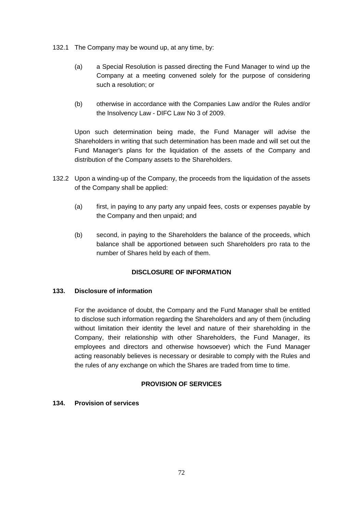- 132.1 The Company may be wound up, at any time, by:
	- (a) a Special Resolution is passed directing the Fund Manager to wind up the Company at a meeting convened solely for the purpose of considering such a resolution; or
	- (b) otherwise in accordance with the Companies Law and/or the Rules and/or the Insolvency Law - DIFC Law No 3 of 2009.

Upon such determination being made, the Fund Manager will advise the Shareholders in writing that such determination has been made and will set out the Fund Manager's plans for the liquidation of the assets of the Company and distribution of the Company assets to the Shareholders.

- 132.2 Upon a winding-up of the Company, the proceeds from the liquidation of the assets of the Company shall be applied:
	- (a) first, in paying to any party any unpaid fees, costs or expenses payable by the Company and then unpaid; and
	- (b) second, in paying to the Shareholders the balance of the proceeds, which balance shall be apportioned between such Shareholders pro rata to the number of Shares held by each of them.

## **DISCLOSURE OF INFORMATION**

#### **133. Disclosure of information**

For the avoidance of doubt, the Company and the Fund Manager shall be entitled to disclose such information regarding the Shareholders and any of them (including without limitation their identity the level and nature of their shareholding in the Company, their relationship with other Shareholders, the Fund Manager, its employees and directors and otherwise howsoever) which the Fund Manager acting reasonably believes is necessary or desirable to comply with the Rules and the rules of any exchange on which the Shares are traded from time to time.

# **PROVISION OF SERVICES**

#### **134. Provision of services**